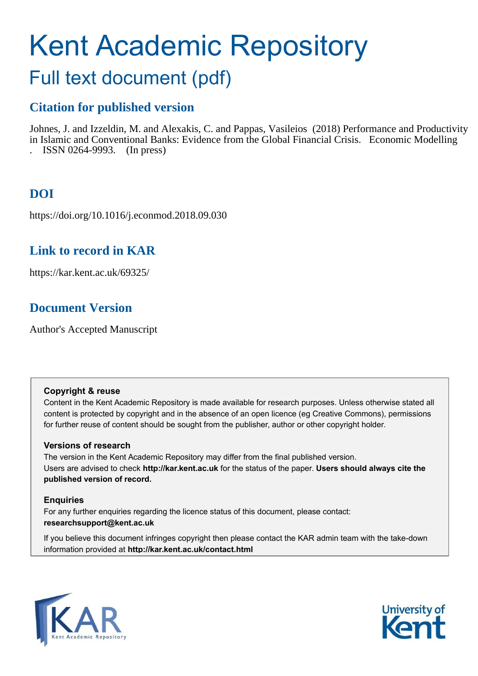# Kent Academic Repository

## Full text document (pdf)

## **Citation for published version**

Johnes, J. and Izzeldin, M. and Alexakis, C. and Pappas, Vasileios (2018) Performance and Productivity in Islamic and Conventional Banks: Evidence from the Global Financial Crisis. Economic Modelling . ISSN 0264-9993. (In press)

## **DOI**

https://doi.org/10.1016/j.econmod.2018.09.030

## **Link to record in KAR**

https://kar.kent.ac.uk/69325/

## **Document Version**

Author's Accepted Manuscript

#### **Copyright & reuse**

Content in the Kent Academic Repository is made available for research purposes. Unless otherwise stated all content is protected by copyright and in the absence of an open licence (eg Creative Commons), permissions for further reuse of content should be sought from the publisher, author or other copyright holder.

#### **Versions of research**

The version in the Kent Academic Repository may differ from the final published version. Users are advised to check **http://kar.kent.ac.uk** for the status of the paper. **Users should always cite the published version of record.**

#### **Enquiries**

For any further enquiries regarding the licence status of this document, please contact: **researchsupport@kent.ac.uk**

If you believe this document infringes copyright then please contact the KAR admin team with the take-down information provided at **http://kar.kent.ac.uk/contact.html**



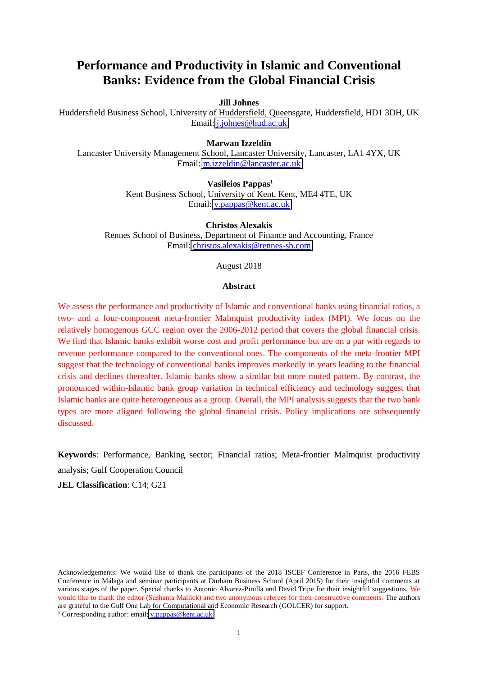### **Performance and Productivity in Islamic and Conventional Banks: Evidence from the Global Financial Crisis**

**Jill Johnes** 

Huddersfield Business School, University of Huddersfield, Queensgate, Huddersfield, HD1 3DH, UK Email: [j.johnes@hud.ac.uk](mailto:j.johnes@hud.ac.uk) 

#### **Marwan Izzeldin**

Lancaster University Management School, Lancaster University, Lancaster, LA1 4YX, UK Email: [m.izzeldin@lancaster.ac.uk](mailto:m.izzeldin@lancaster.ac.uk)

> **Vasileios Pappas<sup>1</sup>** Kent Business School, University of Kent, Kent, ME4 4TE, UK Email: [v.pappas@kent.ac.uk](mailto:v.pappas@kent.ac.uk)

> > **Christos Alexakis**

Rennes School of Business, Department of Finance and Accounting, France Email: [christos.alexakis@rennes-sb.com](mailto:christos.alexakis@rennes-sb.com) 

August 2018

#### **Abstract**

We assess the performance and productivity of Islamic and conventional banks using financial ratios, a two- and a four-component meta-frontier Malmquist productivity index (MPI). We focus on the relatively homogenous GCC region over the 2006-2012 period that covers the global financial crisis. We find that Islamic banks exhibit worse cost and profit performance but are on a par with regards to revenue performance compared to the conventional ones. The components of the meta-frontier MPI suggest that the technology of conventional banks improves markedly in years leading to the financial crisis and declines thereafter. Islamic banks show a similar but more muted pattern. By contrast, the pronounced within-Islamic bank group variation in technical efficiency and technology suggest that Islamic banks are quite heterogeneous as a group. Overall, the MPI analysis suggests that the two bank types are more aligned following the global financial crisis. Policy implications are subsequently discussed.

**Keywords**: Performance, Banking sector; Financial ratios; Meta-frontier Malmquist productivity analysis; Gulf Cooperation Council

**JEL Classification**: C14; G21

Acknowledgements: We would like to thank the participants of the 2018 ISCEF Conference in Paris, the 2016 FEBS Conference in Málaga and seminar participants at Durham Business School (April 2015) for their insightful comments at various stages of the paper. Special thanks to Antonio Alvarez-Pinilla and David Tripe for their insightful suggestions. We would like to thank the editor (Sushanta Mallick) and two anonymous referees for their constructive comments. The authors are grateful to the Gulf One Lab for Computational and Economic Research (GOLCER) for support.

<sup>&</sup>lt;sup>1</sup> Corresponding author: email: v.pappas@kent.ac.uk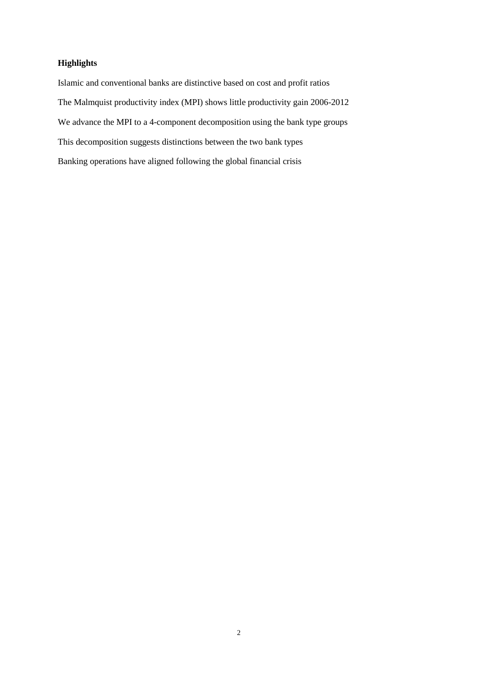#### **Highlights**

Islamic and conventional banks are distinctive based on cost and profit ratios The Malmquist productivity index (MPI) shows little productivity gain 2006-2012 We advance the MPI to a 4-component decomposition using the bank type groups This decomposition suggests distinctions between the two bank types Banking operations have aligned following the global financial crisis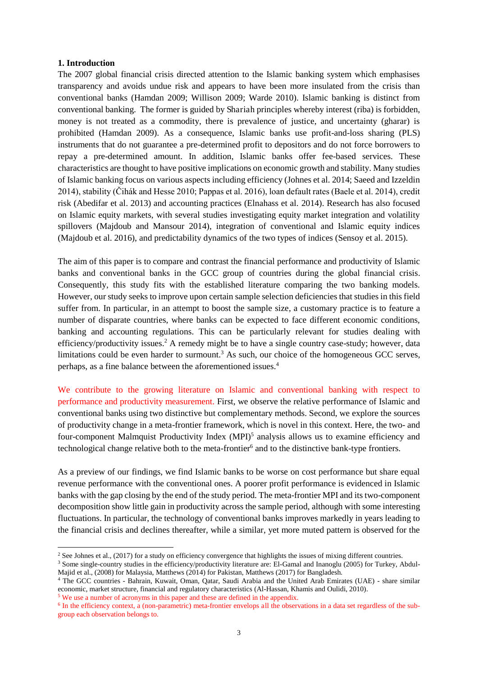#### **1. Introduction**

 $\overline{a}$ 

The 2007 global financial crisis directed attention to the Islamic banking system which emphasises transparency and avoids undue risk and appears to have been more insulated from the crisis than conventional banks (Hamdan 2009; Willison 2009; Warde 2010). Islamic banking is distinct from conventional banking. The former is guided by Shariah principles whereby interest (riba) is forbidden, money is not treated as a commodity, there is prevalence of justice, and uncertainty (gharar) is prohibited (Hamdan 2009). As a consequence, Islamic banks use profit-and-loss sharing (PLS) instruments that do not guarantee a pre-determined profit to depositors and do not force borrowers to repay a pre-determined amount. In addition, Islamic banks offer fee-based services. These characteristics are thought to have positive implications on economic growth and stability. Many studies of Islamic banking focus on various aspects including efficiency (Johnes et al. 2014; Saeed and Izzeldin 2014), stability (Čihák and Hesse 2010; Pappas et al. 2016), loan default rates (Baele et al. 2014), credit risk (Abedifar et al. 2013) and accounting practices (Elnahass et al. 2014). Research has also focused on Islamic equity markets, with several studies investigating equity market integration and volatility spillovers (Majdoub and Mansour 2014), integration of conventional and Islamic equity indices (Majdoub et al. 2016), and predictability dynamics of the two types of indices (Sensoy et al. 2015).

The aim of this paper is to compare and contrast the financial performance and productivity of Islamic banks and conventional banks in the GCC group of countries during the global financial crisis. Consequently, this study fits with the established literature comparing the two banking models. However, our study seeks to improve upon certain sample selection deficiencies that studies in this field suffer from. In particular, in an attempt to boost the sample size, a customary practice is to feature a number of disparate countries, where banks can be expected to face different economic conditions, banking and accounting regulations. This can be particularly relevant for studies dealing with efficiency/productivity issues.<sup>2</sup> A remedy might be to have a single country case-study; however, data limitations could be even harder to surmount.<sup>3</sup> As such, our choice of the homogeneous GCC serves, perhaps, as a fine balance between the aforementioned issues.<sup>4</sup>

We contribute to the growing literature on Islamic and conventional banking with respect to performance and productivity measurement. First, we observe the relative performance of Islamic and conventional banks using two distinctive but complementary methods. Second, we explore the sources of productivity change in a meta-frontier framework, which is novel in this context. Here, the two- and four-component Malmquist Productivity Index (MPI)<sup>5</sup> analysis allows us to examine efficiency and technological change relative both to the meta-frontier<sup>6</sup> and to the distinctive bank-type frontiers.

As a preview of our findings, we find Islamic banks to be worse on cost performance but share equal revenue performance with the conventional ones. A poorer profit performance is evidenced in Islamic banks with the gap closing by the end of the study period. The meta-frontier MPI and its two-component decomposition show little gain in productivity across the sample period, although with some interesting fluctuations. In particular, the technology of conventional banks improves markedly in years leading to the financial crisis and declines thereafter, while a similar, yet more muted pattern is observed for the

<sup>&</sup>lt;sup>2</sup> See Johnes et al., (2017) for a study on efficiency convergence that highlights the issues of mixing different countries.

<sup>3</sup> Some single-country studies in the efficiency/productivity literature are: El-Gamal and Inanoglu (2005) for Turkey, Abdul-Majid et al., (2008) for Malaysia, Matthews (2014) for Pakistan, Matthews (2017) for Bangladesh.

<sup>4</sup> The GCC countries - Bahrain, Kuwait, Oman, Qatar, Saudi Arabia and the United Arab Emirates (UAE) - share similar economic, market structure, financial and regulatory characteristics (Al-Hassan, Khamis and Oulidi, 2010).

<sup>&</sup>lt;sup>5</sup> We use a number of acronyms in this paper and these are defined in the appendix.

<sup>&</sup>lt;sup>6</sup> In the efficiency context, a (non-parametric) meta-frontier envelops all the observations in a data set regardless of the subgroup each observation belongs to.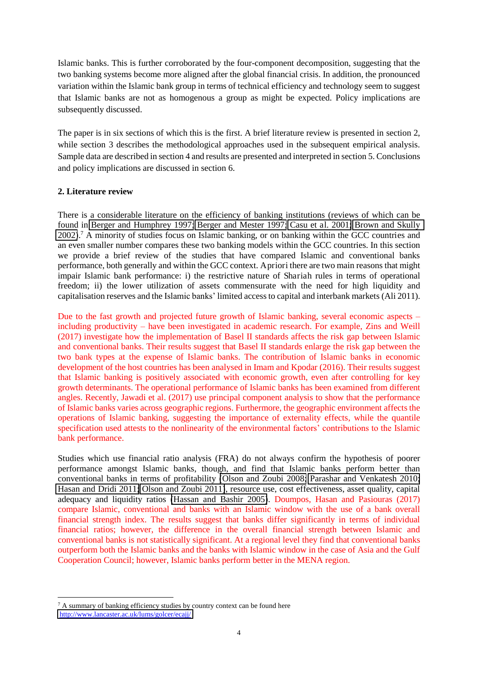Islamic banks. This is further corroborated by the four-component decomposition, suggesting that the two banking systems become more aligned after the global financial crisis. In addition, the pronounced variation within the Islamic bank group in terms of technical efficiency and technology seem to suggest that Islamic banks are not as homogenous a group as might be expected. Policy implications are subsequently discussed.

The paper is in six sections of which this is the first. A brief literature review is presented in section 2, while section 3 describes the methodological approaches used in the subsequent empirical analysis. Sample data are described in section 4 and results are presented and interpreted in section 5. Conclusions and policy implications are discussed in section 6.

#### **2. Literature review**

 $\overline{a}$ 

There is a considerable literature on the efficiency of banking institutions (reviews of which can be found in [Berger and Humphrey 1997;](#page-24-0) [Berger and Mester 1997;](#page-24-1) [Casu et al. 2001;](#page-24-2) [Brown and Skully](#page-24-3)  [2002\)](#page-24-3).<sup>7</sup> A minority of studies focus on Islamic banking, or on banking within the GCC countries and an even smaller number compares these two banking models within the GCC countries. In this section we provide a brief review of the studies that have compared Islamic and conventional banks performance, both generally and within the GCC context. A priori there are two main reasons that might impair Islamic bank performance: i) the restrictive nature of Shariah rules in terms of operational freedom; ii) the lower utilization of assets commensurate with the need for high liquidity and capitalisation reserves and the Islamic banks' limited access to capital and interbank markets (Ali 2011).

Due to the fast growth and projected future growth of Islamic banking, several economic aspects – including productivity – have been investigated in academic research. For example, Zins and Weill (2017) investigate how the implementation of Basel II standards affects the risk gap between Islamic and conventional banks. Their results suggest that Basel II standards enlarge the risk gap between the two bank types at the expense of Islamic banks. The contribution of Islamic banks in economic development of the host countries has been analysed in Imam and Kpodar (2016). Their results suggest that Islamic banking is positively associated with economic growth, even after controlling for key growth determinants. The operational performance of Islamic banks has been examined from different angles. Recently, Jawadi et al. (2017) use principal component analysis to show that the performance of Islamic banks varies across geographic regions. Furthermore, the geographic environment affects the operations of Islamic banking, suggesting the importance of externality effects, while the quantile specification used attests to the nonlinearity of the environmental factors' contributions to the Islamic bank performance.

Studies which use financial ratio analysis (FRA) do not always confirm the hypothesis of poorer performance amongst Islamic banks, though, and find that Islamic banks perform better than conventional banks in terms of profitability [\(Olson and Zoubi 2008;](#page-27-0) [Parashar and Venkatesh 2010;](#page-27-1) [Hasan and Dridi 2011;](#page-25-0) [Olson and Zoubi 2011\)](#page-27-2), resource use, cost effectiveness, asset quality, capital adequacy and liquidity ratios [\(Hassan and Bashir 2005\)](#page-25-1). Doumpos, Hasan and Pasiouras (2017) compare Islamic, conventional and banks with an Islamic window with the use of a bank overall financial strength index. The results suggest that banks differ significantly in terms of individual financial ratios; however, the difference in the overall financial strength between Islamic and conventional banks is not statistically significant. At a regional level they find that conventional banks outperform both the Islamic banks and the banks with Islamic window in the case of Asia and the Gulf Cooperation Council; however, Islamic banks perform better in the MENA region.

<sup>&</sup>lt;sup>7</sup> A summary of banking efficiency studies by country context can be found here <http://www.lancaster.ac.uk/lums/golcer/ecajj/>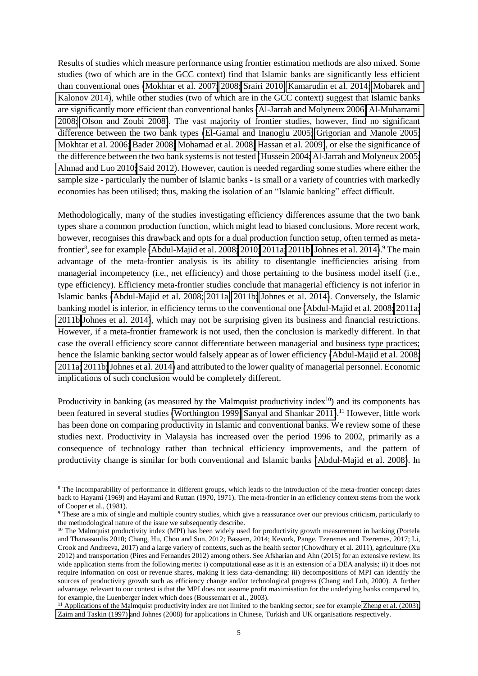Results of studies which measure performance using frontier estimation methods are also mixed. Some studies (two of which are in the GCC context) find that Islamic banks are significantly less efficient than conventional ones [\(Mokhtar et al. 2007;](#page-26-0) [2008;](#page-26-1) [Srairi 2010;](#page-27-3) [Kamarudin et al. 2014;](#page-26-2) [Mobarek and](#page-26-3)  [Kalonov 2014\)](#page-26-3), while other studies (two of which are in the GCC context) suggest that Islamic banks are significantly more efficient than conventional banks [\(Al-Jarrah and Molyneux 2006;](#page-23-0) [Al-Muharrami](#page-23-1)  [2008;](#page-23-1) [Olson and Zoubi 2008\)](#page-27-0). The vast majority of frontier studies, however, find no significant difference between the two bank types [\(El-Gamal and Inanoglu 2005;](#page-25-2) [Grigorian and Manole 2005;](#page-25-3) [Mokhtar et al. 2006;](#page-26-4) [Bader 2008;](#page-23-2) [Mohamad et al. 2008;](#page-26-5) [Hassan et al. 2009\)](#page-25-4), or else the significance of the difference between the two bank systems is not tested [\(Hussein 2004;](#page-25-5) [Al-Jarrah and Molyneux 2005;](#page-23-3) [Ahmad and Luo 2010;](#page-23-4) [Said 2012\)](#page-27-4). However, caution is needed regarding some studies where either the sample size - particularly the number of Islamic banks - is small or a variety of countries with markedly economies has been utilised; thus, making the isolation of an "Islamic banking" effect difficult.

Methodologically, many of the studies investigating efficiency differences assume that the two bank types share a common production function, which might lead to biased conclusions. More recent work, however, recognises this drawback and opts for a dual production function setup, often termed as meta-frontier<sup>8</sup>, see for example [\(Abdul-Majid et al. 2008;](#page-23-5) [2010;](#page-23-6) [2011a;](#page-23-7) [2011b;](#page-23-8) [Johnes et al. 2014\)](#page-25-6).<sup>9</sup> The main advantage of the meta-frontier analysis is its ability to disentangle inefficiencies arising from managerial incompetency (i.e., net efficiency) and those pertaining to the business model itself (i.e., type efficiency). Efficiency meta-frontier studies conclude that managerial efficiency is not inferior in Islamic banks [\(Abdul-Majid et al. 2008;](#page-23-5) [2011a;](#page-23-7) [2011b;](#page-23-8) [Johnes et al. 2014\)](#page-25-6). Conversely, the Islamic banking model is inferior, in efficiency terms to the conventional one [\(Abdul-Majid et al. 2008;](#page-23-5) [2011a;](#page-23-7) [2011b](#page-23-8)[;Johnes et al. 2014\)](#page-25-6), which may not be surprising given its business and financial restrictions. However, if a meta-frontier framework is not used, then the conclusion is markedly different. In that case the overall efficiency score cannot differentiate between managerial and business type practices; hence the Islamic banking sector would falsely appear as of lower efficiency [\(Abdul-Majid et al. 2008;](#page-23-5) [2011a;](#page-23-7) [2011b;](#page-23-8) [Johnes et al. 2014\)](#page-25-6) and attributed to the lower quality of managerial personnel. Economic implications of such conclusion would be completely different.

Productivity in banking (as measured by the Malmquist productivity index<sup>10</sup>) and its components has been featured in several studies [\(Worthington 1999;](#page-27-5) [Sanyal and Shankar 2011\)](#page-27-6).<sup>11</sup> However, little work has been done on comparing productivity in Islamic and conventional banks. We review some of these studies next. Productivity in Malaysia has increased over the period 1996 to 2002, primarily as a consequence of technology rather than technical efficiency improvements, and the pattern of productivity change is similar for both conventional and Islamic banks [\(Abdul-Majid et al. 2008\)](#page-23-5). In

<sup>&</sup>lt;sup>8</sup> The incomparability of performance in different groups, which leads to the introduction of the meta-frontier concept dates back to Hayami (1969) and Hayami and Ruttan (1970, 1971). The meta-frontier in an efficiency context stems from the work of Cooper et al., (1981).

<sup>&</sup>lt;sup>9</sup> These are a mix of single and multiple country studies, which give a reassurance over our previous criticism, particularly to the methodological nature of the issue we subsequently describe.

<sup>&</sup>lt;sup>10</sup> The Malmquist productivity index (MPI) has been widely used for productivity growth measurement in banking (Portela and Thanassoulis 2010; Chang, Hu, Chou and Sun, 2012; Bassem, 2014; Kevork, Pange, Tzeremes and Tzeremes, 2017; Li, Crook and Andreeva, 2017) and a large variety of contexts, such as the health sector (Chowdhury et al. 2011), agriculture (Xu 2012) and transportation (Pires and Fernandes 2012) among others. See Afsharian and Ahn (2015) for an extensive review. Its wide application stems from the following merits: i) computational ease as it is an extension of a DEA analysis; ii) it does not require information on cost or revenue shares, making it less data-demanding; iii) decompositions of MPI can identify the sources of productivity growth such as efficiency change and/or technological progress (Chang and Luh, 2000). A further advantage, relevant to our context is that the MPI does not assume profit maximisation for the underlying banks compared to, for example, the Luenberger index which does (Boussemart et al., 2003).

<sup>&</sup>lt;sup>11</sup> Applications of the Malmquist productivity index are not limited to the banking sector; see for exampl[e Zheng et al. \(2003\),](#page-27-7) [Zaim and Taskin \(1997\)](#page-27-8) and Johnes (2008) for applications in Chinese, Turkish and UK organisations respectively.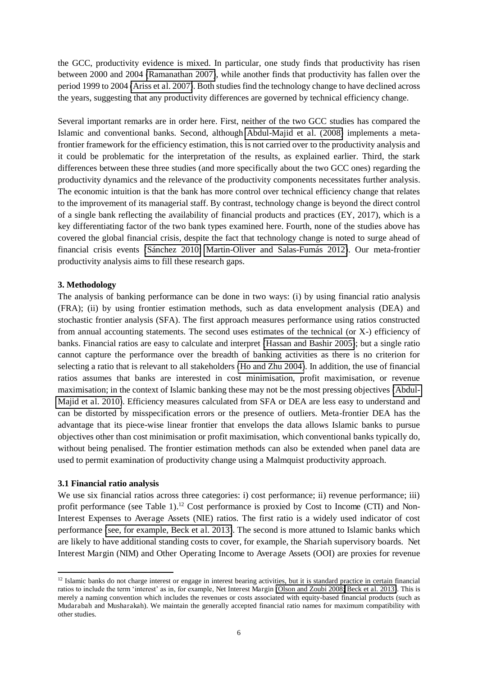the GCC, productivity evidence is mixed. In particular, one study finds that productivity has risen between 2000 and 2004 [\(Ramanathan 2007\)](#page-27-9), while another finds that productivity has fallen over the period 1999 to 2004 [\(Ariss et al. 2007\)](#page-23-9). Both studies find the technology change to have declined across the years, suggesting that any productivity differences are governed by technical efficiency change.

Several important remarks are in order here. First, neither of the two GCC studies has compared the Islamic and conventional banks. Second, although [Abdul-Majid et al. \(2008\)](#page-23-5) implements a metafrontier framework for the efficiency estimation, this is not carried over to the productivity analysis and it could be problematic for the interpretation of the results, as explained earlier. Third, the stark differences between these three studies (and more specifically about the two GCC ones) regarding the productivity dynamics and the relevance of the productivity components necessitates further analysis. The economic intuition is that the bank has more control over technical efficiency change that relates to the improvement of its managerial staff. By contrast, technology change is beyond the direct control of a single bank reflecting the availability of financial products and practices (EY, 2017), which is a key differentiating factor of the two bank types examined here. Fourth, none of the studies above has covered the global financial crisis, despite the fact that technology change is noted to surge ahead of financial crisis events [\(Sánchez 2010;](#page-27-10) [Martin-Oliver and Salas-Fumás 2012\)](#page-26-6). Our meta-frontier productivity analysis aims to fill these research gaps.

#### **3. Methodology**

The analysis of banking performance can be done in two ways: (i) by using financial ratio analysis (FRA); (ii) by using frontier estimation methods, such as data envelopment analysis (DEA) and stochastic frontier analysis (SFA). The first approach measures performance using ratios constructed from annual accounting statements. The second uses estimates of the technical (or X-) efficiency of banks. Financial ratios are easy to calculate and interpret [\(Hassan and Bashir 2005\)](#page-25-1); but a single ratio cannot capture the performance over the breadth of banking activities as there is no criterion for selecting a ratio that is relevant to all stakeholders [\(Ho and Zhu 2004\)](#page-25-7). In addition, the use of financial ratios assumes that banks are interested in cost minimisation, profit maximisation, or revenue maximisation; in the context of Islamic banking these may not be the most pressing objectives [\(Abdul-](#page-23-6)[Majid et al. 2010\)](#page-23-6). Efficiency measures calculated from SFA or DEA are less easy to understand and can be distorted by misspecification errors or the presence of outliers. Meta-frontier DEA has the advantage that its piece-wise linear frontier that envelops the data allows Islamic banks to pursue objectives other than cost minimisation or profit maximisation, which conventional banks typically do, without being penalised. The frontier estimation methods can also be extended when panel data are used to permit examination of productivity change using a Malmquist productivity approach.

#### **3.1 Financial ratio analysis**

 $\overline{a}$ 

We use six financial ratios across three categories: i) cost performance; ii) revenue performance; iii) profit performance (see Table 1).<sup>12</sup> Cost performance is proxied by Cost to Income (CTI) and Non-Interest Expenses to Average Assets (NIE) ratios. The first ratio is a widely used indicator of cost performance [\(see, for example, Beck et al. 2013\)](#page-23-10). The second is more attuned to Islamic banks which are likely to have additional standing costs to cover, for example, the Shariah supervisory boards. Net Interest Margin (NIM) and Other Operating Income to Average Assets (OOI) are proxies for revenue

<sup>&</sup>lt;sup>12</sup> Islamic banks do not charge interest or engage in interest bearing activities, but it is standard practice in certain financial ratios to include the term 'interest' as in, for example, Net Interest Margin [\(Olson and Zoubi 2008;](#page-27-0) [Beck et al. 2013\)](#page-23-10). This is merely a naming convention which includes the revenues or costs associated with equity-based financial products (such as Mudarabah and Musharakah). We maintain the generally accepted financial ratio names for maximum compatibility with other studies.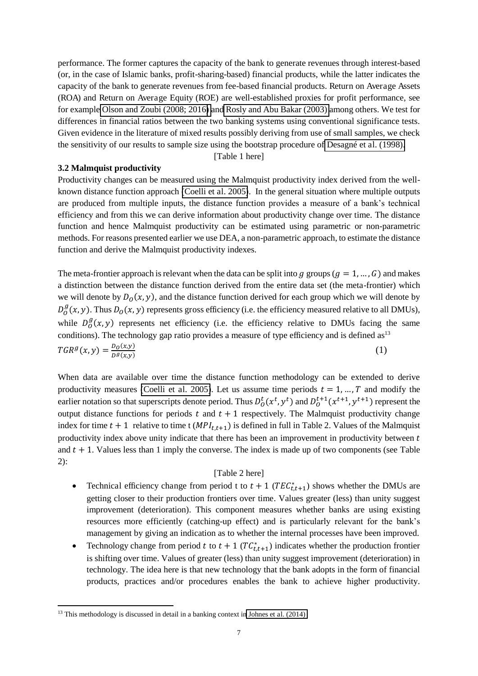performance. The former captures the capacity of the bank to generate revenues through interest-based (or, in the case of Islamic banks, profit-sharing-based) financial products, while the latter indicates the capacity of the bank to generate revenues from fee-based financial products. Return on Average Assets (ROA) and Return on Average Equity (ROE) are well-established proxies for profit performance, see for example [Olson and Zoubi \(2008; 2016\)](#page-27-0) and [Rosly and Abu Bakar \(2003\)](#page-27-11) among others. We test for differences in financial ratios between the two banking systems using conventional significance tests. Given evidence in the literature of mixed results possibly deriving from use of small samples, we check the sensitivity of our results to sample size using the bootstrap procedure of [Desagné et al. \(1998\).](#page-24-4)

[Table 1 here]

#### **3.2 Malmquist productivity**

Productivity changes can be measured using the Malmquist productivity index derived from the wellknown distance function approach [\(Coelli et al. 2005\)](#page-24-5). In the general situation where multiple outputs are produced from multiple inputs, the distance function provides a measure of a bank's technical efficiency and from this we can derive information about productivity change over time. The distance function and hence Malmquist productivity can be estimated using parametric or non-parametric methods. For reasons presented earlier we use DEA, a non-parametric approach, to estimate the distance function and derive the Malmquist productivity indexes.

The meta-frontier approach is relevant when the data can be split into g groups ( $g = 1, ..., G$ ) and makes a distinction between the distance function derived from the entire data set (the meta-frontier) which we will denote by  $D_0(x, y)$ , and the distance function derived for each group which we will denote by  $D_0^g(x, y)$ . Thus  $D_0(x, y)$  represents gross efficiency (i.e. the efficiency measured relative to all DMUs), while  $D_0^g(x, y)$  represents net efficiency (i.e. the efficiency relative to DMUs facing the same conditions). The technology gap ratio provides a measure of type efficiency and is defined as<sup>13</sup>  $TGR^{g}(x, y) = \frac{D_{Q}(x, y)}{D_{Q}(x, y)}$  $D^g(x,y)$ (1)

When data are available over time the distance function methodology can be extended to derive productivity measures [\(Coelli et al. 2005\)](#page-24-5). Let us assume time periods  $t = 1, ..., T$  and modify the earlier notation so that superscripts denote period. Thus  $D_0^t(x^t, y^t)$  and  $D_0^{t+1}(x^{t+1}, y^{t+1})$  represent the output distance functions for periods  $t$  and  $t + 1$  respectively. The Malmquist productivity change index for time  $t + 1$  relative to time t ( $MPI_{t,t+1}$ ) is defined in full in Table 2. Values of the Malmquist productivity index above unity indicate that there has been an improvement in productivity between  $t$ and  $t + 1$ . Values less than 1 imply the converse. The index is made up of two components (see Table 2):

#### [Table 2 here]

- Technical efficiency change from period t to  $t + 1$  (TEC<sub>t<sub>i</sub>t+1</sub>) shows whether the DMUs are getting closer to their production frontiers over time. Values greater (less) than unity suggest improvement (deterioration). This component measures whether banks are using existing resources more efficiently (catching-up effect) and is particularly relevant for the bank's management by giving an indication as to whether the internal processes have been improved.
- Technology change from period t to  $t + 1$  ( $TC_{t,t+1}^*$ ) indicates whether the production frontier is shifting over time. Values of greater (less) than unity suggest improvement (deterioration) in technology. The idea here is that new technology that the bank adopts in the form of financial products, practices and/or procedures enables the bank to achieve higher productivity.

<sup>&</sup>lt;sup>13</sup> This methodology is discussed in detail in a banking context in Johnes et al. (2014)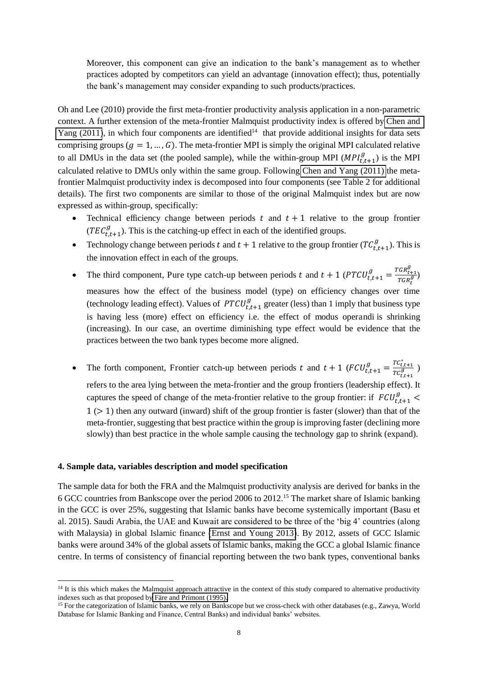Moreover, this component can give an indication to the bank's management as to whether practices adopted by competitors can yield an advantage (innovation effect); thus, potentially the bank's management may consider expanding to such products/practices.

Oh and Lee (2010) provide the first meta-frontier productivity analysis application in a non-parametric context. A further extension of the meta-frontier Malmquist productivity index is offered by [Chen and](#page-24-6)  Yang  $(2011)$ , in which four components are identified<sup>14</sup> that provide additional insights for data sets comprising groups ( $g = 1, ..., G$ ). The meta-frontier MPI is simply the original MPI calculated relative to all DMUs in the data set (the pooled sample), while the within-group MPI  $(MPI_{t,t+1}^g)$  is the MPI calculated relative to DMUs only within the same group. Following [Chen and Yang \(2011\)](#page-24-6) the metafrontier Malmquist productivity index is decomposed into four components (see Table 2 for additional details). The first two components are similar to those of the original Malmquist index but are now expressed as within-group, specifically:

- Technical efficiency change between periods t and  $t + 1$  relative to the group frontier (TEC<sup>g</sup><sub>t,t+1</sub>). This is the catching-up effect in each of the identified groups.
- Technology change between periods t and  $t + 1$  relative to the group frontier  $(TC_{t,t+1}^g)$ . This is the innovation effect in each of the groups.
- The third component, Pure type catch-up between periods t and  $t + 1$  (PTCU<sub>t,t+1</sub> =  $\frac{TGR_{t+1}^g}{TGR_t^g}$  $\frac{m_{t+1}}{TGR_t^g}$ measures how the effect of the business model (type) on efficiency changes over time (technology leading effect). Values of  $PTCU_{t,t+1}^g$  greater (less) than 1 imply that business type is having less (more) effect on efficiency i.e. the effect of modus operandi is shrinking (increasing). In our case, an overtime diminishing type effect would be evidence that the practices between the two bank types become more aligned.
- The forth component, Frontier catch-up between periods t and  $t + 1$  ( $FCU_{t,t+1}^g = \frac{TC_{t,t+1}^g}{TC_{t,t+1}^g}$  $\frac{r_{t,t+1}}{rc_{t,t+1}^{g}}$ ) refers to the area lying between the meta-frontier and the group frontiers (leadership effect). It captures the speed of change of the meta-frontier relative to the group frontier: if  $FCU_{t,t+1}^g$  <  $1$  ( $> 1$ ) then any outward (inward) shift of the group frontier is faster (slower) than that of the meta-frontier, suggesting that best practice within the group is improving faster (declining more slowly) than best practice in the whole sample causing the technology gap to shrink (expand).

#### **4. Sample data, variables description and model specification**

 $\overline{a}$ 

The sample data for both the FRA and the Malmquist productivity analysis are derived for banks in the 6 GCC countries from Bankscope over the period 2006 to 2012.<sup>15</sup> The market share of Islamic banking in the GCC is over 25%, suggesting that Islamic banks have become systemically important (Basu et al. 2015). Saudi Arabia, the UAE and Kuwait are considered to be three of the 'big 4' countries (along with Malaysia) in global Islamic finance [\(Ernst and Young 2013\)](#page-25-8). By 2012, assets of GCC Islamic banks were around 34% of the global assets of Islamic banks, making the GCC a global Islamic finance centre. In terms of consistency of financial reporting between the two bank types, conventional banks

<sup>&</sup>lt;sup>14</sup> It is this which makes the Malmquist approach attractive in the context of this study compared to alternative productivity indexes such as that proposed b[y Färe and Primont \(1995\).](#page-25-9)

<sup>&</sup>lt;sup>15</sup> For the categorization of Islamic banks, we rely on Bankscope but we cross-check with other databases (e.g., Zawya, World Database for Islamic Banking and Finance, Central Banks) and individual banks' websites.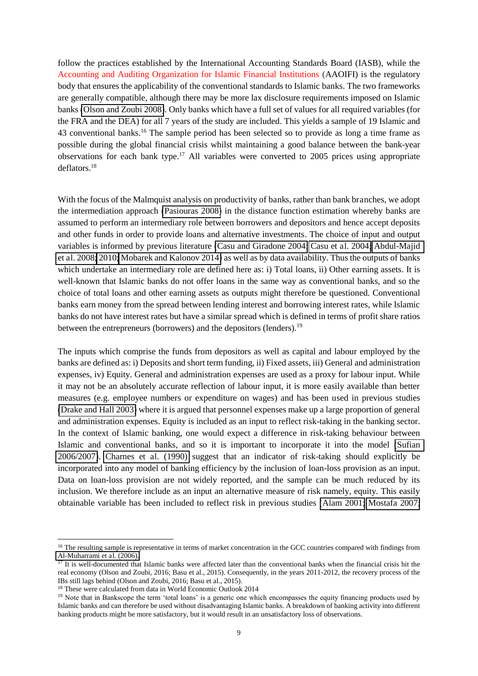follow the practices established by the International Accounting Standards Board (IASB), while the Accounting and Auditing Organization for Islamic Financial Institutions (AAOIFI) is the regulatory body that ensures the applicability of the conventional standards to Islamic banks. The two frameworks are generally compatible, although there may be more lax disclosure requirements imposed on Islamic banks [\(Olson and Zoubi 2008\)](#page-27-0). Only banks which have a full set of values for all required variables (for the FRA and the DEA) for all 7 years of the study are included. This yields a sample of 19 Islamic and 43 conventional banks.<sup>16</sup> The sample period has been selected so to provide as long a time frame as possible during the global financial crisis whilst maintaining a good balance between the bank-year observations for each bank type.<sup>17</sup> All variables were converted to 2005 prices using appropriate deflators.<sup>18</sup>

With the focus of the Malmquist analysis on productivity of banks, rather than bank branches, we adopt the intermediation approach [\(Pasiouras 2008\)](#page-27-12) in the distance function estimation whereby banks are assumed to perform an intermediary role between borrowers and depositors and hence accept deposits and other funds in order to provide loans and alternative investments. The choice of input and output variables is informed by previous literature [\(Casu and Giradone 2004;](#page-24-7) [Casu et al. 2004;](#page-24-8) [Abdul-Majid](#page-23-5)  [et al. 2008;](#page-23-5) [2010;](#page-23-6) [Mobarek and Kalonov 2014\)](#page-26-3) as well as by data availability. Thus the outputs of banks which undertake an intermediary role are defined here as: i) Total loans, ii) Other earning assets. It is well-known that Islamic banks do not offer loans in the same way as conventional banks, and so the choice of total loans and other earning assets as outputs might therefore be questioned. Conventional banks earn money from the spread between lending interest and borrowing interest rates, while Islamic banks do not have interest rates but have a similar spread which is defined in terms of profit share ratios between the entrepreneurs (borrowers) and the depositors (lenders).<sup>19</sup>

The inputs which comprise the funds from depositors as well as capital and labour employed by the banks are defined as: i) Deposits and short term funding, ii) Fixed assets, iii) General and administration expenses, iv) Equity. General and administration expenses are used as a proxy for labour input. While it may not be an absolutely accurate reflection of labour input, it is more easily available than better measures (e.g. employee numbers or expenditure on wages) and has been used in previous studies [\(Drake and Hall 2003\)](#page-24-9) where it is argued that personnel expenses make up a large proportion of general and administration expenses. Equity is included as an input to reflect risk-taking in the banking sector. In the context of Islamic banking, one would expect a difference in risk-taking behaviour between Islamic and conventional banks, and so it is important to incorporate it into the model [\(Sufian](#page-27-13)  [2006/2007\)](#page-27-13). [Charnes et al. \(1990\)](#page-24-10) suggest that an indicator of risk-taking should explicitly be incorporated into any model of banking efficiency by the inclusion of loan-loss provision as an input. Data on loan-loss provision are not widely reported, and the sample can be much reduced by its inclusion. We therefore include as an input an alternative measure of risk namely, equity. This easily obtainable variable has been included to reflect risk in previous studies [\(Alam 2001;](#page-23-11) [Mostafa 2007;](#page-26-7)

<sup>&</sup>lt;sup>16</sup> The resulting sample is representative in terms of market concentration in the GCC countries compared with findings from [Al-Muharrami et al. \(2006\).](#page-23-12)

 $17$  It is well-documented that Islamic banks were affected later than the conventional banks when the financial crisis hit the real economy (Olson and Zoubi, 2016; Basu et al., 2015). Consequently, in the years 2011-2012, the recovery process of the IBs still lags behind (Olson and Zoubi, 2016; Basu et al., 2015).

<sup>&</sup>lt;sup>18</sup> These were calculated from data in World Economic Outlook 2014

<sup>&</sup>lt;sup>19</sup> Note that in Bankscope the term 'total loans' is a generic one which encompasses the equity financing products used by Islamic banks and can therefore be used without disadvantaging Islamic banks. A breakdown of banking activity into different banking products might be more satisfactory, but it would result in an unsatisfactory loss of observations.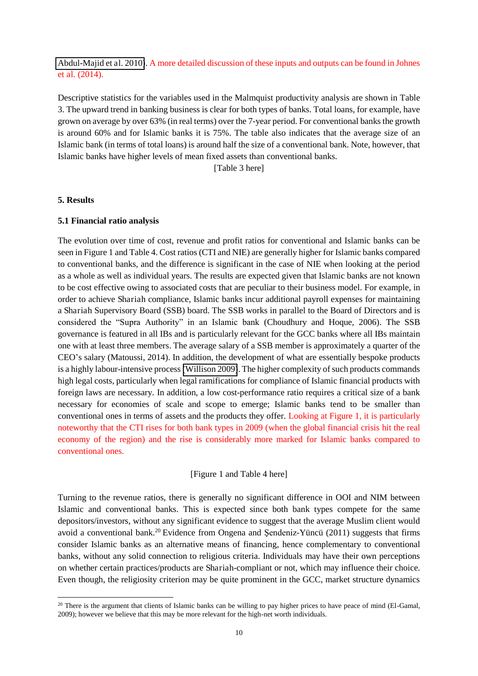[Abdul-Majid et al. 2010\)](#page-23-6). A more detailed discussion of these inputs and outputs can be found in Johnes et al. (2014).

Descriptive statistics for the variables used in the Malmquist productivity analysis are shown in Table 3. The upward trend in banking business is clear for both types of banks. Total loans, for example, have grown on average by over 63% (in real terms) over the 7-year period. For conventional banks the growth is around 60% and for Islamic banks it is 75%. The table also indicates that the average size of an Islamic bank (in terms of total loans) is around half the size of a conventional bank. Note, however, that Islamic banks have higher levels of mean fixed assets than conventional banks.

[Table 3 here]

#### **5. Results**

 $\overline{a}$ 

#### **5.1 Financial ratio analysis**

The evolution over time of cost, revenue and profit ratios for conventional and Islamic banks can be seen in Figure 1 and Table 4. Cost ratios (CTI and NIE) are generally higher for Islamic banks compared to conventional banks, and the difference is significant in the case of NIE when looking at the period as a whole as well as individual years. The results are expected given that Islamic banks are not known to be cost effective owing to associated costs that are peculiar to their business model. For example, in order to achieve Shariah compliance, Islamic banks incur additional payroll expenses for maintaining a Shariah Supervisory Board (SSB) board. The SSB works in parallel to the Board of Directors and is considered the "Supra Authority" in an Islamic bank (Choudhury and Hoque, 2006). The SSB governance is featured in all IBs and is particularly relevant for the GCC banks where all IBs maintain one with at least three members. The average salary of a SSB member is approximately a quarter of the CEO's salary (Matoussi, 2014). In addition, the development of what are essentially bespoke products is a highly labour-intensive process [\(Willison 2009\)](#page-27-14). The higher complexity of such products commands high legal costs, particularly when legal ramifications for compliance of Islamic financial products with foreign laws are necessary. In addition, a low cost-performance ratio requires a critical size of a bank necessary for economies of scale and scope to emerge; Islamic banks tend to be smaller than conventional ones in terms of assets and the products they offer. Looking at Figure 1, it is particularly noteworthy that the CTI rises for both bank types in 2009 (when the global financial crisis hit the real economy of the region) and the rise is considerably more marked for Islamic banks compared to conventional ones.

#### [Figure 1 and Table 4 here]

Turning to the revenue ratios, there is generally no significant difference in OOI and NIM between Islamic and conventional banks. This is expected since both bank types compete for the same depositors/investors, without any significant evidence to suggest that the average Muslim client would avoid a conventional bank.<sup>20</sup> Evidence from Ongena and Sendeniz-Yüncü (2011) suggests that firms consider Islamic banks as an alternative means of financing, hence complementary to conventional banks, without any solid connection to religious criteria. Individuals may have their own perceptions on whether certain practices/products are Shariah-compliant or not, which may influence their choice. Even though, the religiosity criterion may be quite prominent in the GCC, market structure dynamics

<sup>&</sup>lt;sup>20</sup> There is the argument that clients of Islamic banks can be willing to pay higher prices to have peace of mind (El-Gamal, 2009); however we believe that this may be more relevant for the high-net worth individuals.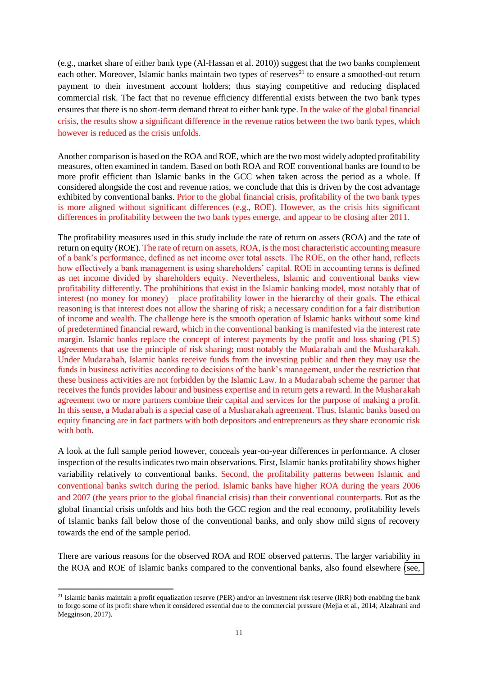(e.g., market share of either bank type (Al-Hassan et al. 2010)) suggest that the two banks complement each other. Moreover, Islamic banks maintain two types of reserves<sup>21</sup> to ensure a smoothed-out return payment to their investment account holders; thus staying competitive and reducing displaced commercial risk. The fact that no revenue efficiency differential exists between the two bank types ensures that there is no short-term demand threat to either bank type. In the wake of the global financial crisis, the results show a significant difference in the revenue ratios between the two bank types, which however is reduced as the crisis unfolds.

Another comparison is based on the ROA and ROE, which are the two most widely adopted profitability measures, often examined in tandem. Based on both ROA and ROE conventional banks are found to be more profit efficient than Islamic banks in the GCC when taken across the period as a whole. If considered alongside the cost and revenue ratios, we conclude that this is driven by the cost advantage exhibited by conventional banks. Prior to the global financial crisis, profitability of the two bank types is more aligned without significant differences (e.g., ROE). However, as the crisis hits significant differences in profitability between the two bank types emerge, and appear to be closing after 2011.

The profitability measures used in this study include the rate of return on assets (ROA) and the rate of return on equity (ROE). The rate of return on assets, ROA, is the most characteristic accounting measure of a bank's performance, defined as net income over total assets. The ROE, on the other hand, reflects how effectively a bank management is using shareholders' capital. ROE in accounting terms is defined as net income divided by shareholders equity. Nevertheless, Islamic and conventional banks view profitability differently. The prohibitions that exist in the Islamic banking model, most notably that of interest (no money for money) – place profitability lower in the hierarchy of their goals. The ethical reasoning is that interest does not allow the sharing of risk; a necessary condition for a fair distribution of income and wealth. The challenge here is the smooth operation of Islamic banks without some kind of predetermined financial reward, which in the conventional banking is manifested via the interest rate margin. Islamic banks replace the concept of interest payments by the profit and loss sharing (PLS) agreements that use the principle of risk sharing; most notably the Mudarabah and the Musharakah. Under Mudarabah, Islamic banks receive funds from the investing public and then they may use the funds in business activities according to decisions of the bank's management, under the restriction that these business activities are not forbidden by the Islamic Law. In a Mudarabah scheme the partner that receives the funds provides labour and business expertise and in return gets a reward. In the Musharakah agreement two or more partners combine their capital and services for the purpose of making a profit. In this sense, a Mudarabah is a special case of a Musharakah agreement. Thus, Islamic banks based on equity financing are in fact partners with both depositors and entrepreneurs as they share economic risk with both.

A look at the full sample period however, conceals year-on-year differences in performance. A closer inspection of the results indicates two main observations. First, Islamic banks profitability shows higher variability relatively to conventional banks. Second, the profitability patterns between Islamic and conventional banks switch during the period. Islamic banks have higher ROA during the years 2006 and 2007 (the years prior to the global financial crisis) than their conventional counterparts. But as the global financial crisis unfolds and hits both the GCC region and the real economy, profitability levels of Islamic banks fall below those of the conventional banks, and only show mild signs of recovery towards the end of the sample period.

There are various reasons for the observed ROA and ROE observed patterns. The larger variability in the ROA and ROE of Islamic banks compared to the conventional banks, also found elsewhere [\(see,](#page-26-8) 

<sup>&</sup>lt;sup>21</sup> Islamic banks maintain a profit equalization reserve (PER) and/or an investment risk reserve (IRR) both enabling the bank to forgo some of its profit share when it considered essential due to the commercial pressure (Mejia et al., 2014; Alzahrani and Megginson, 2017).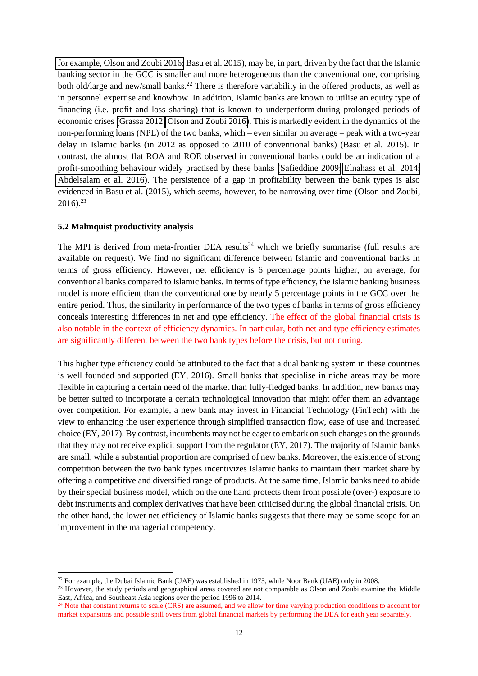[for example, Olson and Zoubi 2016;](#page-26-8) Basu et al. 2015), may be, in part, driven by the fact that the Islamic banking sector in the GCC is smaller and more heterogeneous than the conventional one, comprising both old/large and new/small banks.<sup>22</sup> There is therefore variability in the offered products, as well as in personnel expertise and knowhow. In addition, Islamic banks are known to utilise an equity type of financing (i.e. profit and loss sharing) that is known to underperform during prolonged periods of economic crises [\(Grassa 2012;](#page-25-10) [Olson and Zoubi 2016\)](#page-26-8). This is markedly evident in the dynamics of the non-performing loans (NPL) of the two banks, which – even similar on average – peak with a two-year delay in Islamic banks (in 2012 as opposed to 2010 of conventional banks) (Basu et al. 2015). In contrast, the almost flat ROA and ROE observed in conventional banks could be an indication of a profit-smoothing behaviour widely practised by these banks [\(Safieddine 2009;](#page-27-15) [Elnahass et al. 2014;](#page-25-11) [Abdelsalam et al. 2016\)](#page-23-13). The persistence of a gap in profitability between the bank types is also evidenced in Basu et al. (2015), which seems, however, to be narrowing over time (Olson and Zoubi,  $2016$ ).<sup>23</sup>

#### **5.2 Malmquist productivity analysis**

 $\overline{a}$ 

The MPI is derived from meta-frontier DEA results<sup>24</sup> which we briefly summarise (full results are available on request). We find no significant difference between Islamic and conventional banks in terms of gross efficiency. However, net efficiency is 6 percentage points higher, on average, for conventional banks compared to Islamic banks. In terms of type efficiency, the Islamic banking business model is more efficient than the conventional one by nearly 5 percentage points in the GCC over the entire period. Thus, the similarity in performance of the two types of banks in terms of gross efficiency conceals interesting differences in net and type efficiency. The effect of the global financial crisis is also notable in the context of efficiency dynamics. In particular, both net and type efficiency estimates are significantly different between the two bank types before the crisis, but not during.

This higher type efficiency could be attributed to the fact that a dual banking system in these countries is well founded and supported (EY, 2016). Small banks that specialise in niche areas may be more flexible in capturing a certain need of the market than fully-fledged banks. In addition, new banks may be better suited to incorporate a certain technological innovation that might offer them an advantage over competition. For example, a new bank may invest in Financial Technology (FinTech) with the view to enhancing the user experience through simplified transaction flow, ease of use and increased choice (EY, 2017). By contrast, incumbents may not be eager to embark on such changes on the grounds that they may not receive explicit support from the regulator (EY, 2017). The majority of Islamic banks are small, while a substantial proportion are comprised of new banks. Moreover, the existence of strong competition between the two bank types incentivizes Islamic banks to maintain their market share by offering a competitive and diversified range of products. At the same time, Islamic banks need to abide by their special business model, which on the one hand protects them from possible (over-) exposure to debt instruments and complex derivatives that have been criticised during the global financial crisis. On the other hand, the lower net efficiency of Islamic banks suggests that there may be some scope for an improvement in the managerial competency.

<sup>&</sup>lt;sup>22</sup> For example, the Dubai Islamic Bank (UAE) was established in 1975, while Noor Bank (UAE) only in 2008.

<sup>&</sup>lt;sup>23</sup> However, the study periods and geographical areas covered are not comparable as Olson and Zoubi examine the Middle East, Africa, and Southeast Asia regions over the period 1996 to 2014.

<sup>&</sup>lt;sup>24</sup> Note that constant returns to scale (CRS) are assumed, and we allow for time varying production conditions to account for market expansions and possible spill overs from global financial markets by performing the DEA for each year separately.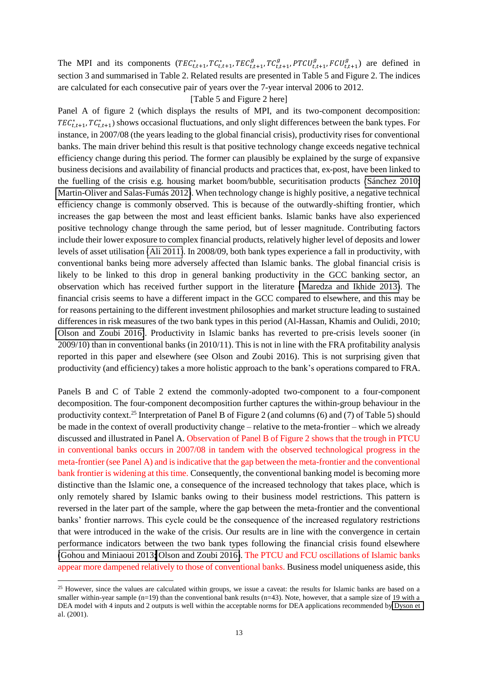The MPI and its components  $(TEC_{t,t+1}^*, TC_{t,t+1}^g, TCC_{t,t+1}^g, TCC_{t,t+1}^g, PTCU_{t,t+1}^g, FCU_{t,t+1}^g)$  are defined in section 3 and summarised in Table 2. Related results are presented in Table 5 and Figure 2. The indices are calculated for each consecutive pair of years over the 7-year interval 2006 to 2012.

#### [Table 5 and Figure 2 here]

Panel A of figure 2 (which displays the results of MPI, and its two-component decomposition:  $TEC_{t,t+1}^*$ ,  $TC_{t,t+1}^*$  shows occasional fluctuations, and only slight differences between the bank types. For instance, in 2007/08 (the years leading to the global financial crisis), productivity rises for conventional banks. The main driver behind this result is that positive technology change exceeds negative technical efficiency change during this period. The former can plausibly be explained by the surge of expansive business decisions and availability of financial products and practices that, ex-post, have been linked to the fuelling of the crisis e.g. housing market boom/bubble, securitisation products [\(Sánchez 2010;](#page-27-10) [Martin-Oliver and Salas-Fumás 2012\)](#page-26-6). When technology change is highly positive, a negative technical efficiency change is commonly observed. This is because of the outwardly-shifting frontier, which increases the gap between the most and least efficient banks. Islamic banks have also experienced positive technology change through the same period, but of lesser magnitude. Contributing factors include their lower exposure to complex financial products, relatively higher level of deposits and lower levels of asset utilisation [\(Ali 2011\)](#page-23-14). In 2008/09, both bank types experience a fall in productivity, with conventional banks being more adversely affected than Islamic banks. The global financial crisis is likely to be linked to this drop in general banking productivity in the GCC banking sector, an observation which has received further support in the literature [\(Maredza and Ikhide 2013\)](#page-26-9). The financial crisis seems to have a different impact in the GCC compared to elsewhere, and this may be for reasons pertaining to the different investment philosophies and market structure leading to sustained differences in risk measures of the two bank types in this period (Al-Hassan, Khamis and Oulidi, 2010; [Olson and Zoubi 2016\)](#page-26-8). Productivity in Islamic banks has reverted to pre-crisis levels sooner (in 2009/10) than in conventional banks (in 2010/11). This is not in line with the FRA profitability analysis reported in this paper and elsewhere (see Olson and Zoubi 2016). This is not surprising given that productivity (and efficiency) takes a more holistic approach to the bank's operations compared to FRA.

Panels B and C of Table 2 extend the commonly-adopted two-component to a four-component decomposition. The four-component decomposition further captures the within-group behaviour in the productivity context.<sup>25</sup> Interpretation of Panel B of Figure 2 (and columns (6) and (7) of Table 5) should be made in the context of overall productivity change – relative to the meta-frontier – which we already discussed and illustrated in Panel A. Observation of Panel B of Figure 2 shows that the trough in PTCU in conventional banks occurs in 2007/08 in tandem with the observed technological progress in the meta-frontier (see Panel A) and is indicative that the gap between the meta-frontier and the conventional bank frontier is widening at this time. Consequently, the conventional banking model is becoming more distinctive than the Islamic one, a consequence of the increased technology that takes place, which is only remotely shared by Islamic banks owing to their business model restrictions. This pattern is reversed in the later part of the sample, where the gap between the meta-frontier and the conventional banks' frontier narrows. This cycle could be the consequence of the increased regulatory restrictions that were introduced in the wake of the crisis. Our results are in line with the convergence in certain performance indicators between the two bank types following the financial crisis found elsewhere [\(Gohou and Miniaoui 2013;](#page-25-12) [Olson and Zoubi 2016\)](#page-26-8). The PTCU and FCU oscillations of Islamic banks appear more dampened relatively to those of conventional banks. Business model uniqueness aside, this

<sup>&</sup>lt;sup>25</sup> However, since the values are calculated within groups, we issue a caveat: the results for Islamic banks are based on a smaller within-year sample  $(n=19)$  than the conventional bank results  $(n=43)$ . Note, however, that a sample size of 19 with a DEA model with 4 inputs and 2 outputs is well within the acceptable norms for DEA applications recommended by [Dyson et](#page-25-13)  al. (2001).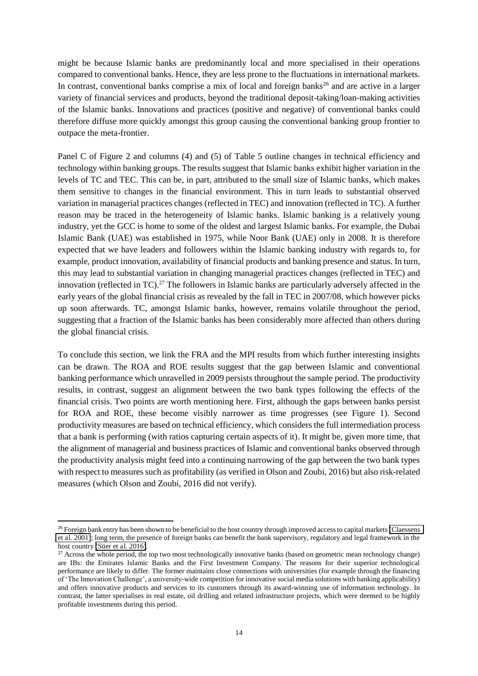might be because Islamic banks are predominantly local and more specialised in their operations compared to conventional banks. Hence, they are less prone to the fluctuations in international markets. In contrast, conventional banks comprise a mix of local and foreign banks<sup>26</sup> and are active in a larger variety of financial services and products, beyond the traditional deposit-taking/loan-making activities of the Islamic banks. Innovations and practices (positive and negative) of conventional banks could therefore diffuse more quickly amongst this group causing the conventional banking group frontier to outpace the meta-frontier.

Panel C of Figure 2 and columns (4) and (5) of Table 5 outline changes in technical efficiency and technology within banking groups. The results suggest that Islamic banks exhibit higher variation in the levels of TC and TEC. This can be, in part, attributed to the small size of Islamic banks, which makes them sensitive to changes in the financial environment. This in turn leads to substantial observed variation in managerial practices changes (reflected in TEC) and innovation (reflected in TC). A further reason may be traced in the heterogeneity of Islamic banks. Islamic banking is a relatively young industry, yet the GCC is home to some of the oldest and largest Islamic banks. For example, the Dubai Islamic Bank (UAE) was established in 1975, while Noor Bank (UAE) only in 2008. It is therefore expected that we have leaders and followers within the Islamic banking industry with regards to, for example, product innovation, availability of financial products and banking presence and status. In turn, this may lead to substantial variation in changing managerial practices changes (reflected in TEC) and innovation (reflected in  $TC$ ).<sup>27</sup> The followers in Islamic banks are particularly adversely affected in the early years of the global financial crisis as revealed by the fall in TEC in 2007/08, which however picks up soon afterwards. TC, amongst Islamic banks, however, remains volatile throughout the period, suggesting that a fraction of the Islamic banks has been considerably more affected than others during the global financial crisis.

To conclude this section, we link the FRA and the MPI results from which further interesting insights can be drawn. The ROA and ROE results suggest that the gap between Islamic and conventional banking performance which unravelled in 2009 persists throughout the sample period. The productivity results, in contrast, suggest an alignment between the two bank types following the effects of the financial crisis. Two points are worth mentioning here. First, although the gaps between banks persist for ROA and ROE, these become visibly narrower as time progresses (see Figure 1). Second productivity measures are based on technical efficiency, which considers the full intermediation process that a bank is performing (with ratios capturing certain aspects of it). It might be, given more time, that the alignment of managerial and business practices of Islamic and conventional banks observed through the productivity analysis might feed into a continuing narrowing of the gap between the two bank types with respect to measures such as profitability (as verified in Olson and Zoubi, 2016) but also risk-related measures (which Olson and Zoubi, 2016 did not verify).

<sup>&</sup>lt;sup>26</sup> Foreign bank entry has been shown to be beneficial to the host country through improved access to capital markets (Claessens [et al. 2001\)](#page-24-11); long term, the presence of foreign banks can benefit the bank supervisory, regulatory and legal framework in the host country [\(Süer et al. 2016\)](#page-27-16).

 $27$  Across the whole period, the top two most technologically innovative banks (based on geometric mean technology change) are IBs: the Emirates Islamic Banks and the First Investment Company. The reasons for their superior technological performance are likely to differ. The former maintains close connections with universities (for example through the financing of 'The Innovation Challenge', a university-wide competition for innovative social media solutions with banking applicability) and offers innovative products and services to its customers through its award-winning use of information technology. In contrast, the latter specialises in real estate, oil drilling and related infrastructure projects, which were deemed to be highly profitable investments during this period.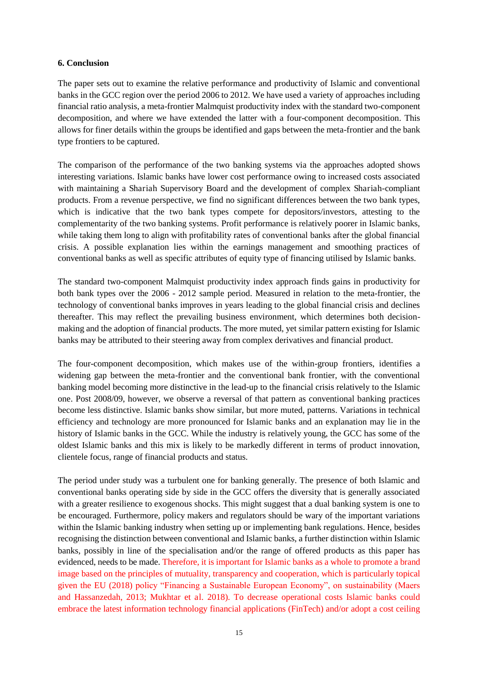#### **6. Conclusion**

The paper sets out to examine the relative performance and productivity of Islamic and conventional banks in the GCC region over the period 2006 to 2012. We have used a variety of approaches including financial ratio analysis, a meta-frontier Malmquist productivity index with the standard two-component decomposition, and where we have extended the latter with a four-component decomposition. This allows for finer details within the groups be identified and gaps between the meta-frontier and the bank type frontiers to be captured.

The comparison of the performance of the two banking systems via the approaches adopted shows interesting variations. Islamic banks have lower cost performance owing to increased costs associated with maintaining a Shariah Supervisory Board and the development of complex Shariah-compliant products. From a revenue perspective, we find no significant differences between the two bank types, which is indicative that the two bank types compete for depositors/investors, attesting to the complementarity of the two banking systems. Profit performance is relatively poorer in Islamic banks, while taking them long to align with profitability rates of conventional banks after the global financial crisis. A possible explanation lies within the earnings management and smoothing practices of conventional banks as well as specific attributes of equity type of financing utilised by Islamic banks.

The standard two-component Malmquist productivity index approach finds gains in productivity for both bank types over the 2006 - 2012 sample period. Measured in relation to the meta-frontier, the technology of conventional banks improves in years leading to the global financial crisis and declines thereafter. This may reflect the prevailing business environment, which determines both decisionmaking and the adoption of financial products. The more muted, yet similar pattern existing for Islamic banks may be attributed to their steering away from complex derivatives and financial product.

The four-component decomposition, which makes use of the within-group frontiers, identifies a widening gap between the meta-frontier and the conventional bank frontier, with the conventional banking model becoming more distinctive in the lead-up to the financial crisis relatively to the Islamic one. Post 2008/09, however, we observe a reversal of that pattern as conventional banking practices become less distinctive. Islamic banks show similar, but more muted, patterns. Variations in technical efficiency and technology are more pronounced for Islamic banks and an explanation may lie in the history of Islamic banks in the GCC. While the industry is relatively young, the GCC has some of the oldest Islamic banks and this mix is likely to be markedly different in terms of product innovation, clientele focus, range of financial products and status.

The period under study was a turbulent one for banking generally. The presence of both Islamic and conventional banks operating side by side in the GCC offers the diversity that is generally associated with a greater resilience to exogenous shocks. This might suggest that a dual banking system is one to be encouraged. Furthermore, policy makers and regulators should be wary of the important variations within the Islamic banking industry when setting up or implementing bank regulations. Hence, besides recognising the distinction between conventional and Islamic banks, a further distinction within Islamic banks, possibly in line of the specialisation and/or the range of offered products as this paper has evidenced, needs to be made. Therefore, it is important for Islamic banks as a whole to promote a brand image based on the principles of mutuality, transparency and cooperation, which is particularly topical given the EU (2018) policy "Financing a Sustainable European Economy", on sustainability (Maers and Hassanzedah, 2013; Mukhtar et al. 2018). To decrease operational costs Islamic banks could embrace the latest information technology financial applications (FinTech) and/or adopt a cost ceiling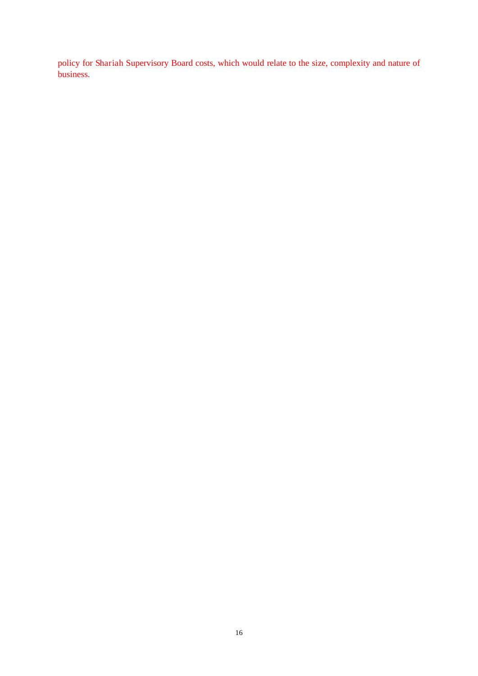policy for Shariah Supervisory Board costs, which would relate to the size, complexity and nature of business.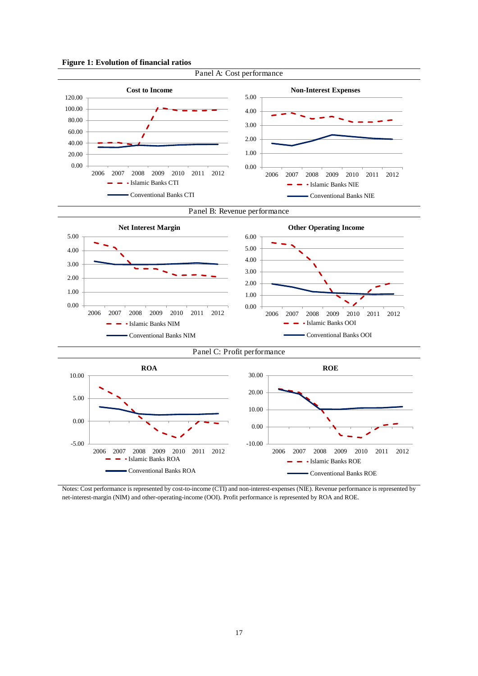

Notes: Cost performance is represented by cost-to-income (CTI) and non-interest-expenses (NIE). Revenue performance is represented by net-interest-margin (NIM) and other-operating-income (OOI). Profit performance is represented by ROA and ROE.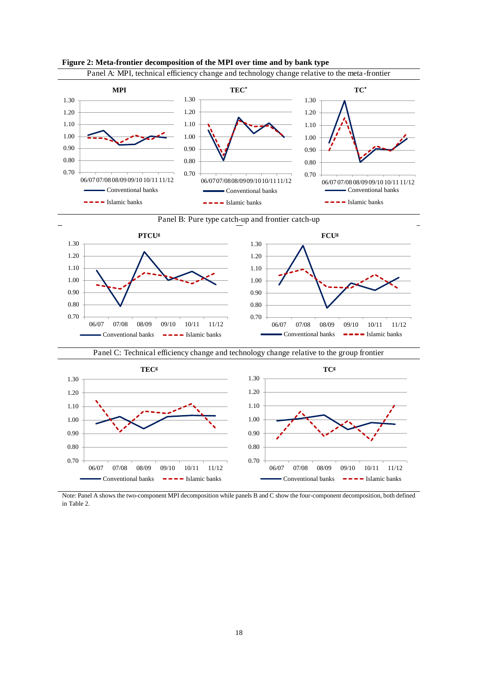

Note: Panel A shows the two-component MPI decomposition while panels B and C show the four-component decomposition, both defined in Table 2.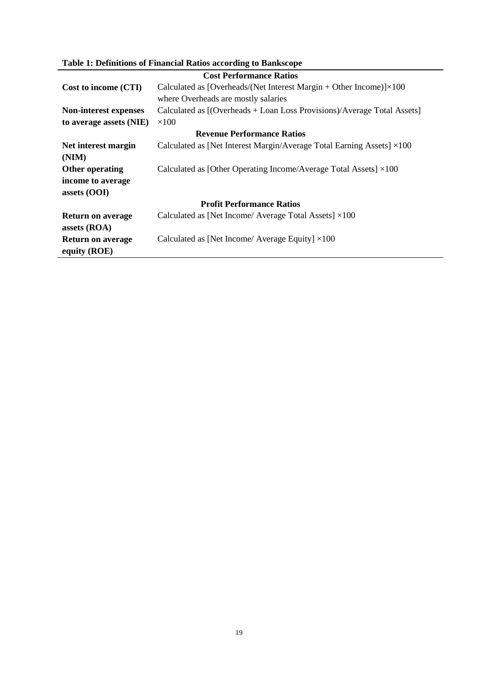|  |  | Table 1: Definitions of Financial Ratios according to Bankscope |
|--|--|-----------------------------------------------------------------|
|--|--|-----------------------------------------------------------------|

|                              | <b>Cost Performance Ratios</b>                                                |
|------------------------------|-------------------------------------------------------------------------------|
| Cost to income (CTI)         | Calculated as [Overheads/(Net Interest Margin + Other Income)] $\times$ 100   |
|                              | where Overheads are mostly salaries                                           |
| <b>Non-interest expenses</b> | Calculated as [(Overheads + Loan Loss Provisions)/Average Total Assets]       |
| to average assets (NIE)      | $\times100$                                                                   |
|                              | <b>Revenue Performance Ratios</b>                                             |
| Net interest margin          | Calculated as [Net Interest Margin/Average Total Earning Assets] $\times$ 100 |
| (NIM)                        |                                                                               |
| Other operating              | Calculated as [Other Operating Income/Average Total Assets] $\times$ 100      |
| income to average            |                                                                               |
| assets (OOI)                 |                                                                               |
|                              | <b>Profit Performance Ratios</b>                                              |
| <b>Return on average</b>     | Calculated as [Net Income/ Average Total Assets] $\times$ 100                 |
| assets (ROA)                 |                                                                               |
| <b>Return on average</b>     | Calculated as [Net Income/ Average Equity] $\times$ 100                       |
| equity (ROE)                 |                                                                               |
|                              |                                                                               |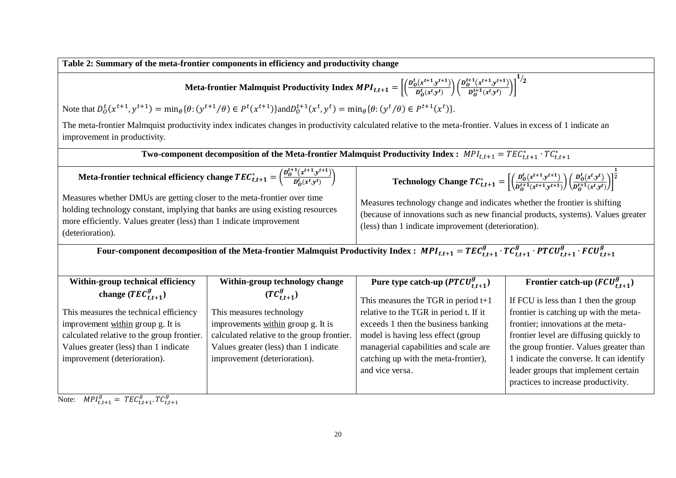| Table 2: Summary of the meta-frontier components in efficiency and productivity change                                                                                                                                                                                                                                      |                                                                                                                                                                                                           |                                                                                                                                                                                                                                                                  |                                                                                                                                                                                                                                                                                                                                       |  |  |  |  |  |
|-----------------------------------------------------------------------------------------------------------------------------------------------------------------------------------------------------------------------------------------------------------------------------------------------------------------------------|-----------------------------------------------------------------------------------------------------------------------------------------------------------------------------------------------------------|------------------------------------------------------------------------------------------------------------------------------------------------------------------------------------------------------------------------------------------------------------------|---------------------------------------------------------------------------------------------------------------------------------------------------------------------------------------------------------------------------------------------------------------------------------------------------------------------------------------|--|--|--|--|--|
| Meta-frontier Malmquist Productivity Index $MPI_{t,t+1} = \left[ \left( \frac{D_0^t(x^{t+1}, y^{t+1})}{D_0^t(x^t, y^t)} \right) \left( \frac{D_0^{t+1}(x^{t+1}, y^{t+1})}{D_0^{t+1}(x^t, y^t)} \right) \right]^{1/2}$                                                                                                       |                                                                                                                                                                                                           |                                                                                                                                                                                                                                                                  |                                                                                                                                                                                                                                                                                                                                       |  |  |  |  |  |
| Note that $D_0^t(x^{t+1}, y^{t+1}) = \min_{\theta} \{\theta: (y^{t+1}/\theta) \in P^t(x^{t+1})\}$ and $D_0^{t+1}(x^t, y^t) = \min_{\theta} \{\theta: (y^t/\theta) \in P^{t+1}(x^t)\}.$                                                                                                                                      |                                                                                                                                                                                                           |                                                                                                                                                                                                                                                                  |                                                                                                                                                                                                                                                                                                                                       |  |  |  |  |  |
| The meta-frontier Malmquist productivity index indicates changes in productivity calculated relative to the meta-frontier. Values in excess of 1 indicate an<br>improvement in productivity.                                                                                                                                |                                                                                                                                                                                                           |                                                                                                                                                                                                                                                                  |                                                                                                                                                                                                                                                                                                                                       |  |  |  |  |  |
| Two-component decomposition of the Meta-frontier Malmquist Productivity Index : $MPI_{t,t+1} = TEC_{t,t+1}^* \cdot TC_{t,t+1}^*$                                                                                                                                                                                            |                                                                                                                                                                                                           |                                                                                                                                                                                                                                                                  |                                                                                                                                                                                                                                                                                                                                       |  |  |  |  |  |
| Meta-frontier technical efficiency change $TEC_{t,t+1}^* = \left(\frac{D_D^{t+1}(x^{t+1}, y^{t+1})}{D_D^t(x^t, y^t)}\right)^*$<br>Technology Change $TC_{t,t+1}^* = \left[ \left( \frac{D_0^t(x^{t+1}, y^{t+1})}{D_x^{t+1}(x^{t+1}, y^{t+1})} \right) \left( \frac{D_0^t(x^t, y^t)}{D_x^{t+1}(x^t, y^t)} \right) \right]^2$ |                                                                                                                                                                                                           |                                                                                                                                                                                                                                                                  |                                                                                                                                                                                                                                                                                                                                       |  |  |  |  |  |
| Measures whether DMUs are getting closer to the meta-frontier over time<br>holding technology constant, implying that banks are using existing resources<br>more efficiently. Values greater (less) than 1 indicate improvement<br>(deterioration).                                                                         |                                                                                                                                                                                                           | Measures technology change and indicates whether the frontier is shifting<br>(because of innovations such as new financial products, systems). Values greater<br>(less) than 1 indicate improvement (deterioration).                                             |                                                                                                                                                                                                                                                                                                                                       |  |  |  |  |  |
|                                                                                                                                                                                                                                                                                                                             | Four-component decomposition of the Meta-frontier Malmquist Productivity Index: $MPI_{t,t+1} = TEC_{t,t+1}^g \cdot TCC_{t,t+1}^g \cdot PTCU_{t,t+1}^g \cdot FCU_{t,t+1}^g$                                |                                                                                                                                                                                                                                                                  |                                                                                                                                                                                                                                                                                                                                       |  |  |  |  |  |
| Within-group technical efficiency                                                                                                                                                                                                                                                                                           | Within-group technology change                                                                                                                                                                            | Pure type catch-up $(PTCU_{t,t+1}^g)$                                                                                                                                                                                                                            | Frontier catch-up $(FCU_{t,t+1}^g)$                                                                                                                                                                                                                                                                                                   |  |  |  |  |  |
| change ( $TEC_{t,t+1}^g$ )<br>This measures the technical efficiency<br>improvement within group g. It is<br>calculated relative to the group frontier.<br>Values greater (less) than 1 indicate<br>improvement (deterioration).                                                                                            | $(TC_{t,t+1}^g)$<br>This measures technology<br>improvements within group g. It is<br>calculated relative to the group frontier.<br>Values greater (less) than 1 indicate<br>improvement (deterioration). | This measures the TGR in period $t+1$<br>relative to the TGR in period t. If it<br>exceeds 1 then the business banking<br>model is having less effect (group<br>managerial capabilities and scale are<br>catching up with the meta-frontier),<br>and vice versa. | If FCU is less than 1 then the group<br>frontier is catching up with the meta-<br>frontier; innovations at the meta-<br>frontier level are diffusing quickly to<br>the group frontier. Values greater than<br>1 indicate the converse. It can identify<br>leader groups that implement certain<br>practices to increase productivity. |  |  |  |  |  |

Note:  $MPI_{t,t+1}^g = TEC_{t,t+1}^g \cdot TC_{t,t+1}^g$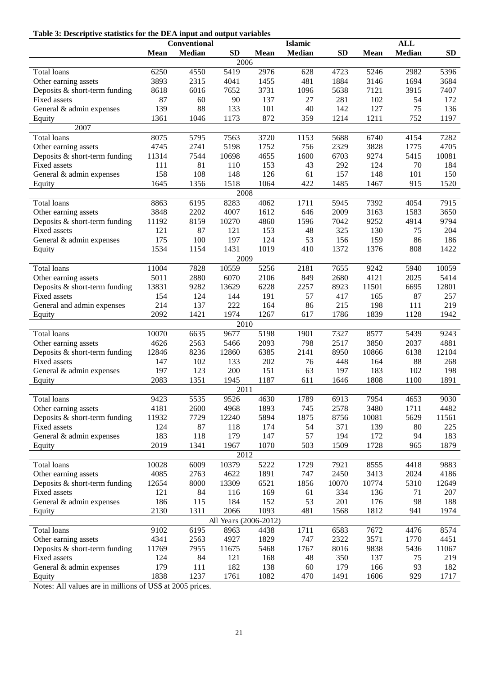**Table 3: Descriptive statistics for the DEA input and output variables**

|                                                       | Conventional |              |                       |              | <b>Islamic</b> |              | <b>ALL</b>    |              |               |  |
|-------------------------------------------------------|--------------|--------------|-----------------------|--------------|----------------|--------------|---------------|--------------|---------------|--|
|                                                       | <b>Mean</b>  | Median       | <b>SD</b>             | Mean         | Median         | SD           | Mean          | Median       | SD            |  |
|                                                       |              |              | 2006                  |              |                |              |               |              |               |  |
| Total loans                                           | 6250         | 4550         | 5419                  | 2976         | 628            | 4723         | 5246          | 2982         | 5396          |  |
| Other earning assets                                  | 3893         | 2315         | 4041                  | 1455         | 481            | 1884         | 3146          | 1694         | 3684          |  |
| Deposits & short-term funding                         | 8618         | 6016         | 7652                  | 3731         | 1096           | 5638         | 7121          | 3915         | 7407          |  |
| Fixed assets                                          | 87           | 60           | 90                    | 137          | 27             | 281          | 102           | 54           | 172           |  |
| General & admin expenses                              | 139          | 88           | 133                   | 101          | 40             | 142          | 127           | 75           | 136           |  |
| Equity                                                | 1361         | 1046         | 1173                  | 872          | 359            | 1214         | 1211          | 752          | 1197          |  |
| 2007<br><b>Total loans</b>                            |              |              |                       |              |                |              |               |              |               |  |
|                                                       | 8075<br>4745 | 5795         | 7563<br>5198          | 3720         | 1153           | 5688<br>2329 | 6740<br>3828  | 4154<br>1775 | 7282<br>4705  |  |
| Other earning assets<br>Deposits & short-term funding | 11314        | 2741<br>7544 | 10698                 | 1752<br>4655 | 756<br>1600    | 6703         | 9274          | 5415         | 10081         |  |
| Fixed assets                                          | 111          | 81           | 110                   | 153          | 43             | 292          | 124           | 70           | 184           |  |
| General & admin expenses                              | 158          | 108          | 148                   | 126          | 61             | 157          | 148           | 101          | 150           |  |
| Equity                                                | 1645         | 1356         | 1518                  | 1064         | 422            | 1485         | 1467          | 915          | 1520          |  |
|                                                       |              |              | 2008                  |              |                |              |               |              |               |  |
| Total loans                                           | 8863         | 6195         | 8283                  | 4062         | 1711           | 5945         | 7392          | 4054         | 7915          |  |
| Other earning assets                                  | 3848         | 2202         | 4007                  | 1612         | 646            | 2009         | 3163          | 1583         | 3650          |  |
| Deposits & short-term funding                         | 11192        | 8159         | 10270                 | 4860         | 1596           | 7042         | 9252          | 4914         | 9794          |  |
| Fixed assets                                          | 121          | 87           | 121                   | 153          | 48             | 325          | 130           | 75           | 204           |  |
| General & admin expenses                              | 175          | 100          | 197                   | 124          | 53             | 156          | 159           | 86           | 186           |  |
| Equity                                                | 1534         | 1154         | 1431                  | 1019         | 410            | 1372         | 1376          | 808          | 1422          |  |
|                                                       |              |              | 2009                  |              |                |              |               |              |               |  |
| Total loans                                           | 11004        | 7828         | 10559                 | 5256         | 2181           | 7655         | 9242          | 5940         | 10059         |  |
| Other earning assets                                  | 5011         | 2880         | 6070                  | 2106         | 849            | 2680         | 4121          | 2025         | 5414          |  |
| Deposits & short-term funding                         | 13831        | 9282         | 13629                 | 6228         | 2257           | 8923         | 11501         | 6695         | 12801         |  |
| Fixed assets                                          | 154          | 124          | 144                   | 191          | 57             | 417          | 165           | 87           | 257           |  |
| General and admin expenses                            | 214          | 137          | 222                   | 164          | 86             | 215          | 198           | 111          | 219           |  |
| Equity                                                | 2092         | 1421         | 1974                  | 1267         | 617            | 1786         | 1839          | 1128         | 1942          |  |
|                                                       |              |              | 2010                  |              |                |              |               |              |               |  |
| Total loans                                           | 10070        | 6635         | 9677                  | 5198         | 1901           | 7327         | 8577          | 5439         | 9243          |  |
| Other earning assets                                  | 4626         | 2563         | 5466                  | 2093         | 798            | 2517         | 3850          | 2037         | 4881          |  |
| Deposits & short-term funding                         | 12846        | 8236         | 12860                 | 6385         | 2141           | 8950         | 10866         | 6138         | 12104         |  |
| Fixed assets                                          | 147          | 102          | 133                   | 202          | 76             | 448          | 164           | 88           | 268           |  |
| General & admin expenses                              | 197          | 123          | 200                   | 151          | 63             | 197          | 183           | 102          | 198           |  |
| Equity                                                | 2083         | 1351         | 1945                  | 1187         | 611            | 1646         | 1808          | 1100         | 1891          |  |
| Total loans                                           | 9423         | 5535         | 2011                  | 4630         |                | 6913         | 7954          | 4653         | 9030          |  |
|                                                       | 4181         |              | 9526                  |              | 1789           |              |               |              |               |  |
| Other earning assets                                  | 11932        | 2600<br>7729 | 4968<br>12240         | 1893<br>5894 | 745<br>1875    | 2578<br>8756 | 3480<br>10081 | 1711<br>5629 | 4482<br>11561 |  |
| Deposits & short-term funding<br>Fixed assets         | 124          | 87           | 118                   | 174          | 54             | 371          | 139           | 80           | 225           |  |
| General & admin expenses                              | 183          | 118          | 179                   | 147          | 57             | 194          | 172           | 94           | 183           |  |
| Equity                                                | 2019         | 1341         | 1967                  | 1070         | 503            | 1509         | 1728          | 965          | 1879          |  |
|                                                       |              |              | 2012                  |              |                |              |               |              |               |  |
| Total loans                                           | 10028        | 6009         | 10379                 | 5222         | 1729           | 7921         | 8555          | 4418         | 9883          |  |
| Other earning assets                                  | 4085         | 2763         | 4622                  | 1891         | 747            | 2450         | 3413          | 2024         | 4186          |  |
| Deposits & short-term funding                         | 12654        | 8000         | 13309                 | 6521         | 1856           | 10070        | 10774         | 5310         | 12649         |  |
| Fixed assets                                          | 121          | 84           | 116                   | 169          | 61             | 334          | 136           | 71           | 207           |  |
| General & admin expenses                              | 186          | 115          | 184                   | 152          | 53             | 201          | 176           | 98           | 188           |  |
| Equity                                                | 2130         | 1311         | 2066                  | 1093         | 481            | 1568         | 1812          | 941          | 1974          |  |
|                                                       |              |              | All Years (2006-2012) |              |                |              |               |              |               |  |
| Total loans                                           | 9102         | 6195         | 8963                  | 4438         | 1711           | 6583         | 7672          | 4476         | 8574          |  |
| Other earning assets                                  | 4341         | 2563         | 4927                  | 1829         | 747            | 2322         | 3571          | 1770         | 4451          |  |
| Deposits & short-term funding                         | 11769        | 7955         | 11675                 | 5468         | 1767           | 8016         | 9838          | 5436         | 11067         |  |
| Fixed assets                                          | 124          | 84           | 121                   | 168          | 48             | 350          | 137           | 75           | 219           |  |
| General & admin expenses                              | 179          | 111          | 182                   | 138          | 60             | 179          | 166           | 93           | 182           |  |
| Equity                                                | 1838         | 1237         | 1761                  | 1082         | 470            | 1491         | 1606          | 929          | 1717          |  |

Notes: All values are in millions of US\$ at 2005 prices.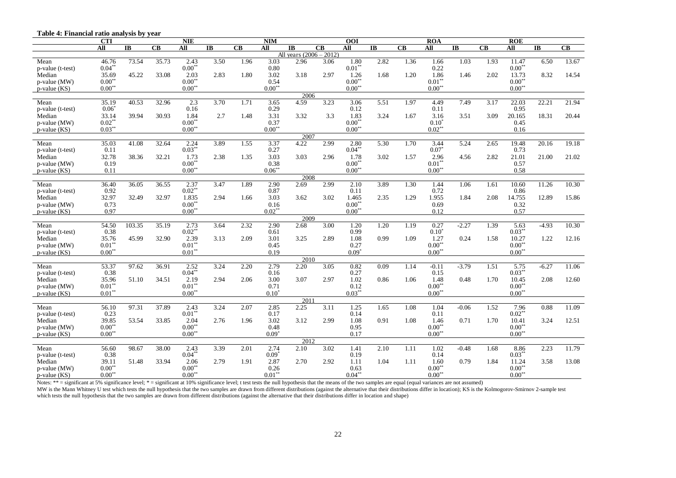| <b>CTI</b><br><b>NIE</b><br><b>NIM</b><br><b>OOI</b><br><b>ROA</b><br><b>ROE</b><br>$\mathbf{I}$ <b>B</b><br>CB<br>All<br>$\mathbf{I}$ <b>B</b><br>CB<br>All<br>$\mathbf{I}$ <b>B</b><br>CB<br>All<br>$\mathbf{I}$ <b>B</b><br>CB<br>All<br>$\mathbf{I}$ <b>B</b><br>CB<br>IB<br>CB<br>All<br>All<br>All years $(2006 - 2012)$<br>1.96<br>1.80<br>1.36<br>11.47<br>13.67<br>46.76<br>73.54<br>35.73<br>$\begin{array}{c} 2.43 \\ 0.00^{**} \end{array}$<br>3.50<br>3.03<br>2.96<br>3.06<br>2.82<br>1.66<br>1.03<br>1.93<br>6.50<br>Mean<br>$0.04**$<br>$0.01**$<br>$0.00**$<br>0.80<br>0.22<br>p-value (t-test)<br>35.69<br>33.08<br>2.03<br>2.83<br>1.80<br>3.02<br>3.18<br>1.26<br>1.68<br>1.86<br>2.02<br>13.73<br>8.32<br>14.54<br>Median<br>45.22<br>2.97<br>1.20<br>1.46<br>$0.00**$<br>$0.00^{**}$<br>$0.00^{**}$<br>$0.01$ *<br>$0.00^{**}$<br>0.54<br>$p$ -value (MW)<br>$0.00**$<br>$0.00**$<br>$0.00**$<br>$0.00**$<br>$0.00^{**}$<br>$0.00^{**}$<br>$p$ -value $(KS)$<br>2006<br>2.3<br>3.23<br>3.06<br>35.19<br>40.53<br>32.96<br>3.70<br>1.71<br>3.65<br>5.51<br>1.97<br>7.49<br>3.17<br>22.03<br>22.21<br>21.94<br>4.59<br>4.49<br>Mean<br>$0.06*$<br>0.95<br>0.16<br>0.29<br>0.12<br>0.11<br>p-value (t-test)<br>1.83<br>33.14<br>39.94<br>30.93<br>1.84<br>2.7<br>1.48<br>3.31<br>3.32<br>3.3<br>3.24<br>3.16<br>3.51<br>3.09<br>20.165<br>18.31<br>20.44<br>Median<br>1.67<br>$0.00^{**}$<br>$0.02**$<br>$0.00^{**}$<br>0.37<br>$0.10^{*}$<br>0.45<br>$p$ -value (MW)<br>$0.00**$<br>$0.03**$<br>$0.00**$<br>$0.00^{**}$<br>$0.02**$<br>p-value (KS)<br>0.16<br>2007<br>19.48<br>19.18<br>35.03<br>41.08<br>32.64<br>2.24<br>3.89<br>1.55<br>3.37<br>4.22<br>2.99<br>2.80<br>5.30<br>1.70<br>3.44<br>5.24<br>2.65<br>20.16<br>Mean<br>$0.03***$<br>$0.04**$<br>0.11<br>$0.07*$<br>0.73<br>0.27<br>p-value (t-test)<br>21.01<br>Median<br>32.78<br>38.36<br>32.21<br>1.73<br>2.38<br>1.35<br>3.03<br>3.03<br>2.96<br>1.78<br>3.02<br>1.57<br>2.96<br>4.56<br>2.82<br>21.00<br>21.02<br>0.19<br>$0.00**$<br>0.38<br>$0.00**$<br>$0.01$ *<br>0.57<br>p-value (MW)<br>$0.00**$<br>$0.00**$<br>$0.00**$<br>$0.06***$<br>0.58<br>0.11<br>p-value (KS)<br>2008<br>36.40<br>36.05<br>3.47<br>1.89<br>2.99<br>2.10<br>3.89<br>1.61<br>10.60<br>11.26<br>10.30<br>36.55<br>2.37<br>2.90<br>2.69<br>1.30<br>1.44<br>1.06<br>Mean<br>$0.02**$<br>0.92<br>0.72<br>0.87<br>0.11<br>0.86<br>p-value (t-test)<br>32.97<br>1.835<br>14.755<br>32.49<br>32.97<br>2.94<br>1.66<br>3.03<br>3.62<br>3.02<br>1.465<br>2.35<br>1.29<br>1.955<br>1.84<br>2.08<br>12.89<br>15.86<br>Median<br>$0.00**$<br>$0.00^{**}$<br>0.32<br>0.73<br>0.16<br>0.69<br>$p$ -value (MW)<br>$0.00**$<br>$0.00**$<br>$0.02**$<br>0.12<br>0.57<br>$p$ -value $(KS)$<br>0.97<br>2009<br>2.32<br>3.00<br>1.20<br>5.63<br>$-4.93$<br>10.30<br>54.50<br>103.35<br>35.19<br>$2.73$<br>$0.02$ **<br>3.64<br>2.90<br>2.68<br>1.20<br>1.19<br>0.27<br>$-2.27$<br>1.39<br>Mean<br>$0.03***$<br>0.99<br>$0.10*$<br>0.38<br>0.61<br>p-value (t-test)<br>35.76<br>2.39<br>1.08<br>Median<br>45.99<br>32.90<br>2.09<br>3.01<br>3.25<br>2.89<br>0.99<br>1.09<br>1.27<br>0.24<br>1.58<br>10.27<br>1.22<br>12.16<br>3.13<br>$0.01**$<br>$0.01**$<br>0.27<br>$0.00^{*}$<br>$0.00^{*}$<br>$p$ -value (MW)<br>0.45<br>$0.00**$<br>$0.01**$<br>$0.00**$<br>$0.00**$<br>$0.09*$<br>0.19<br>$p$ -value $(KS)$<br>2010<br>3.05<br>0.82<br>11.06<br>53.37<br>97.62<br>36.91<br>$\frac{2.52}{0.04}$<br>3.24<br>2.20<br>2.79<br>2.20<br>0.09<br>$-0.11$<br>$-3.79$<br>1.51<br>5.75<br>$-6.27$<br>1.14<br>Mean<br>$0.03**$<br>0.38<br>0.27<br>0.15<br>p-value (t-test)<br>0.16<br>3.07<br>1.02<br>2.08<br>35.96<br>51.10<br>34.51<br>2.19<br>2.94<br>2.06<br>3.00<br>2.97<br>0.86<br>1.06<br>1.48<br>0.48<br>1.70<br>10.45<br>12.60<br>Median<br>$0.01**$<br>$0.01**$<br>0.12<br>$0.00**$<br>$0.00^{**}$<br>0.71<br>$p$ -value (MW)<br>$0.03***$<br>$0.00**$<br>$0.01**$<br>$0.00**$<br>$0.00**$<br>$0.10*$<br>$p$ -value $(KS)$<br>2011<br>97.31<br>2.07<br>1.25<br>1.65<br>1.52<br>7.96<br>11.09<br>56.10<br>37.89<br>2.43<br>3.24<br>2.85<br>2.25<br>3.11<br>1.08<br>1.04<br>$-0.06$<br>0.88<br>Mean<br>$0.01**$<br>$0.02*$<br>0.23<br>0.14<br>p-value (t-test)<br>0.17<br>0.11<br>39.85<br>2.04<br>3.02<br>1.08<br>12.51<br>Median<br>53.54<br>33.85<br>2.76<br>1.96<br>3.12<br>2.99<br>0.91<br>1.08<br>1.46<br>0.71<br>1.70<br>10.41<br>3.24<br>$0.00^{**}$<br>$0.00**$<br>0.95<br>$0.00**$<br>$0.00^{**}$<br>p-value (MW)<br>0.48<br>$0.00**$<br>$0.00**$<br>$0.00**$<br>$0.00*$<br>$0.09*$<br>p-value (KS)<br>0.17<br>2012<br>11.79<br>98.67<br>38.00<br>3.39<br>2.01<br>2.74<br>3.02<br>1.41<br>2.10<br>$-0.48$<br>1.68<br>8.86<br>2.23<br>56.60<br>2.43<br>2.10<br>1.11<br>1.02<br>Mean<br>$0.04**$<br>0.38<br>$0.09*$<br>0.19<br>$0.03*$<br>0.14<br>p-value (t-test)<br>2.06<br>2.87<br>39.11<br>51.48<br>33.94<br>2.79<br>1.91<br>2.70<br>2.92<br>1.11<br>1.04<br>1.11<br>1.60<br>0.79<br>1.84<br>11.24<br>3.58<br>13.08<br>Median<br>$0.00**$<br>$0.00^{**}$<br>$0.00**$<br>$0.00^{**}$<br>0.26<br>0.63<br>p-value (MW) |                   | Table 4: Financial ratio analysis by year |  |  |          |  |  |          |  |          |  |          |  |          |  |
|---------------------------------------------------------------------------------------------------------------------------------------------------------------------------------------------------------------------------------------------------------------------------------------------------------------------------------------------------------------------------------------------------------------------------------------------------------------------------------------------------------------------------------------------------------------------------------------------------------------------------------------------------------------------------------------------------------------------------------------------------------------------------------------------------------------------------------------------------------------------------------------------------------------------------------------------------------------------------------------------------------------------------------------------------------------------------------------------------------------------------------------------------------------------------------------------------------------------------------------------------------------------------------------------------------------------------------------------------------------------------------------------------------------------------------------------------------------------------------------------------------------------------------------------------------------------------------------------------------------------------------------------------------------------------------------------------------------------------------------------------------------------------------------------------------------------------------------------------------------------------------------------------------------------------------------------------------------------------------------------------------------------------------------------------------------------------------------------------------------------------------------------------------------------------------------------------------------------------------------------------------------------------------------------------------------------------------------------------------------------------------------------------------------------------------------------------------------------------------------------------------------------------------------------------------------------------------------------------------------------------------------------------------------------------------------------------------------------------------------------------------------------------------------------------------------------------------------------------------------------------------------------------------------------------------------------------------------------------------------------------------------------------------------------------------------------------------------------------------------------------------------------------------------------------------------------------------------------------------------------------------------------------------------------------------------------------------------------------------------------------------------------------------------------------------------------------------------------------------------------------------------------------------------------------------------------------------------------------------------------------------------------------------------------------------------------------------------------------------------------------------------------------------------------------------------------------------------------------------------------------------------------------------------------------------------------------------------------------------------------------------------------------------------------------------------------------------------------------------------------------------------------------------------------------------------------------------------------------------------------------------------------------------------------------------------------------------------------------------------------------------------------------------------------------------------------------------------------------------------------------------------------------------------------------------------------------------------------------------------------------------------------------------------------------------------------------------------------------------------------------------------------------------------------------------------------------------------------------------------------------------------------------------------------------------------------------------------------------------------------------------------------------------------------------------------------------------|-------------------|-------------------------------------------|--|--|----------|--|--|----------|--|----------|--|----------|--|----------|--|
|                                                                                                                                                                                                                                                                                                                                                                                                                                                                                                                                                                                                                                                                                                                                                                                                                                                                                                                                                                                                                                                                                                                                                                                                                                                                                                                                                                                                                                                                                                                                                                                                                                                                                                                                                                                                                                                                                                                                                                                                                                                                                                                                                                                                                                                                                                                                                                                                                                                                                                                                                                                                                                                                                                                                                                                                                                                                                                                                                                                                                                                                                                                                                                                                                                                                                                                                                                                                                                                                                                                                                                                                                                                                                                                                                                                                                                                                                                                                                                                                                                                                                                                                                                                                                                                                                                                                                                                                                                                                                                                                                                                                                                                                                                                                                                                                                                                                                                                                                                                                                                                                                 |                   |                                           |  |  |          |  |  |          |  |          |  |          |  |          |  |
|                                                                                                                                                                                                                                                                                                                                                                                                                                                                                                                                                                                                                                                                                                                                                                                                                                                                                                                                                                                                                                                                                                                                                                                                                                                                                                                                                                                                                                                                                                                                                                                                                                                                                                                                                                                                                                                                                                                                                                                                                                                                                                                                                                                                                                                                                                                                                                                                                                                                                                                                                                                                                                                                                                                                                                                                                                                                                                                                                                                                                                                                                                                                                                                                                                                                                                                                                                                                                                                                                                                                                                                                                                                                                                                                                                                                                                                                                                                                                                                                                                                                                                                                                                                                                                                                                                                                                                                                                                                                                                                                                                                                                                                                                                                                                                                                                                                                                                                                                                                                                                                                                 |                   |                                           |  |  |          |  |  |          |  |          |  |          |  |          |  |
|                                                                                                                                                                                                                                                                                                                                                                                                                                                                                                                                                                                                                                                                                                                                                                                                                                                                                                                                                                                                                                                                                                                                                                                                                                                                                                                                                                                                                                                                                                                                                                                                                                                                                                                                                                                                                                                                                                                                                                                                                                                                                                                                                                                                                                                                                                                                                                                                                                                                                                                                                                                                                                                                                                                                                                                                                                                                                                                                                                                                                                                                                                                                                                                                                                                                                                                                                                                                                                                                                                                                                                                                                                                                                                                                                                                                                                                                                                                                                                                                                                                                                                                                                                                                                                                                                                                                                                                                                                                                                                                                                                                                                                                                                                                                                                                                                                                                                                                                                                                                                                                                                 |                   |                                           |  |  |          |  |  |          |  |          |  |          |  |          |  |
|                                                                                                                                                                                                                                                                                                                                                                                                                                                                                                                                                                                                                                                                                                                                                                                                                                                                                                                                                                                                                                                                                                                                                                                                                                                                                                                                                                                                                                                                                                                                                                                                                                                                                                                                                                                                                                                                                                                                                                                                                                                                                                                                                                                                                                                                                                                                                                                                                                                                                                                                                                                                                                                                                                                                                                                                                                                                                                                                                                                                                                                                                                                                                                                                                                                                                                                                                                                                                                                                                                                                                                                                                                                                                                                                                                                                                                                                                                                                                                                                                                                                                                                                                                                                                                                                                                                                                                                                                                                                                                                                                                                                                                                                                                                                                                                                                                                                                                                                                                                                                                                                                 |                   |                                           |  |  |          |  |  |          |  |          |  |          |  |          |  |
|                                                                                                                                                                                                                                                                                                                                                                                                                                                                                                                                                                                                                                                                                                                                                                                                                                                                                                                                                                                                                                                                                                                                                                                                                                                                                                                                                                                                                                                                                                                                                                                                                                                                                                                                                                                                                                                                                                                                                                                                                                                                                                                                                                                                                                                                                                                                                                                                                                                                                                                                                                                                                                                                                                                                                                                                                                                                                                                                                                                                                                                                                                                                                                                                                                                                                                                                                                                                                                                                                                                                                                                                                                                                                                                                                                                                                                                                                                                                                                                                                                                                                                                                                                                                                                                                                                                                                                                                                                                                                                                                                                                                                                                                                                                                                                                                                                                                                                                                                                                                                                                                                 |                   |                                           |  |  |          |  |  |          |  |          |  |          |  |          |  |
|                                                                                                                                                                                                                                                                                                                                                                                                                                                                                                                                                                                                                                                                                                                                                                                                                                                                                                                                                                                                                                                                                                                                                                                                                                                                                                                                                                                                                                                                                                                                                                                                                                                                                                                                                                                                                                                                                                                                                                                                                                                                                                                                                                                                                                                                                                                                                                                                                                                                                                                                                                                                                                                                                                                                                                                                                                                                                                                                                                                                                                                                                                                                                                                                                                                                                                                                                                                                                                                                                                                                                                                                                                                                                                                                                                                                                                                                                                                                                                                                                                                                                                                                                                                                                                                                                                                                                                                                                                                                                                                                                                                                                                                                                                                                                                                                                                                                                                                                                                                                                                                                                 |                   |                                           |  |  |          |  |  |          |  |          |  |          |  |          |  |
|                                                                                                                                                                                                                                                                                                                                                                                                                                                                                                                                                                                                                                                                                                                                                                                                                                                                                                                                                                                                                                                                                                                                                                                                                                                                                                                                                                                                                                                                                                                                                                                                                                                                                                                                                                                                                                                                                                                                                                                                                                                                                                                                                                                                                                                                                                                                                                                                                                                                                                                                                                                                                                                                                                                                                                                                                                                                                                                                                                                                                                                                                                                                                                                                                                                                                                                                                                                                                                                                                                                                                                                                                                                                                                                                                                                                                                                                                                                                                                                                                                                                                                                                                                                                                                                                                                                                                                                                                                                                                                                                                                                                                                                                                                                                                                                                                                                                                                                                                                                                                                                                                 |                   |                                           |  |  |          |  |  |          |  |          |  |          |  |          |  |
|                                                                                                                                                                                                                                                                                                                                                                                                                                                                                                                                                                                                                                                                                                                                                                                                                                                                                                                                                                                                                                                                                                                                                                                                                                                                                                                                                                                                                                                                                                                                                                                                                                                                                                                                                                                                                                                                                                                                                                                                                                                                                                                                                                                                                                                                                                                                                                                                                                                                                                                                                                                                                                                                                                                                                                                                                                                                                                                                                                                                                                                                                                                                                                                                                                                                                                                                                                                                                                                                                                                                                                                                                                                                                                                                                                                                                                                                                                                                                                                                                                                                                                                                                                                                                                                                                                                                                                                                                                                                                                                                                                                                                                                                                                                                                                                                                                                                                                                                                                                                                                                                                 |                   |                                           |  |  |          |  |  |          |  |          |  |          |  |          |  |
|                                                                                                                                                                                                                                                                                                                                                                                                                                                                                                                                                                                                                                                                                                                                                                                                                                                                                                                                                                                                                                                                                                                                                                                                                                                                                                                                                                                                                                                                                                                                                                                                                                                                                                                                                                                                                                                                                                                                                                                                                                                                                                                                                                                                                                                                                                                                                                                                                                                                                                                                                                                                                                                                                                                                                                                                                                                                                                                                                                                                                                                                                                                                                                                                                                                                                                                                                                                                                                                                                                                                                                                                                                                                                                                                                                                                                                                                                                                                                                                                                                                                                                                                                                                                                                                                                                                                                                                                                                                                                                                                                                                                                                                                                                                                                                                                                                                                                                                                                                                                                                                                                 |                   |                                           |  |  |          |  |  |          |  |          |  |          |  |          |  |
|                                                                                                                                                                                                                                                                                                                                                                                                                                                                                                                                                                                                                                                                                                                                                                                                                                                                                                                                                                                                                                                                                                                                                                                                                                                                                                                                                                                                                                                                                                                                                                                                                                                                                                                                                                                                                                                                                                                                                                                                                                                                                                                                                                                                                                                                                                                                                                                                                                                                                                                                                                                                                                                                                                                                                                                                                                                                                                                                                                                                                                                                                                                                                                                                                                                                                                                                                                                                                                                                                                                                                                                                                                                                                                                                                                                                                                                                                                                                                                                                                                                                                                                                                                                                                                                                                                                                                                                                                                                                                                                                                                                                                                                                                                                                                                                                                                                                                                                                                                                                                                                                                 |                   |                                           |  |  |          |  |  |          |  |          |  |          |  |          |  |
|                                                                                                                                                                                                                                                                                                                                                                                                                                                                                                                                                                                                                                                                                                                                                                                                                                                                                                                                                                                                                                                                                                                                                                                                                                                                                                                                                                                                                                                                                                                                                                                                                                                                                                                                                                                                                                                                                                                                                                                                                                                                                                                                                                                                                                                                                                                                                                                                                                                                                                                                                                                                                                                                                                                                                                                                                                                                                                                                                                                                                                                                                                                                                                                                                                                                                                                                                                                                                                                                                                                                                                                                                                                                                                                                                                                                                                                                                                                                                                                                                                                                                                                                                                                                                                                                                                                                                                                                                                                                                                                                                                                                                                                                                                                                                                                                                                                                                                                                                                                                                                                                                 |                   |                                           |  |  |          |  |  |          |  |          |  |          |  |          |  |
|                                                                                                                                                                                                                                                                                                                                                                                                                                                                                                                                                                                                                                                                                                                                                                                                                                                                                                                                                                                                                                                                                                                                                                                                                                                                                                                                                                                                                                                                                                                                                                                                                                                                                                                                                                                                                                                                                                                                                                                                                                                                                                                                                                                                                                                                                                                                                                                                                                                                                                                                                                                                                                                                                                                                                                                                                                                                                                                                                                                                                                                                                                                                                                                                                                                                                                                                                                                                                                                                                                                                                                                                                                                                                                                                                                                                                                                                                                                                                                                                                                                                                                                                                                                                                                                                                                                                                                                                                                                                                                                                                                                                                                                                                                                                                                                                                                                                                                                                                                                                                                                                                 |                   |                                           |  |  |          |  |  |          |  |          |  |          |  |          |  |
|                                                                                                                                                                                                                                                                                                                                                                                                                                                                                                                                                                                                                                                                                                                                                                                                                                                                                                                                                                                                                                                                                                                                                                                                                                                                                                                                                                                                                                                                                                                                                                                                                                                                                                                                                                                                                                                                                                                                                                                                                                                                                                                                                                                                                                                                                                                                                                                                                                                                                                                                                                                                                                                                                                                                                                                                                                                                                                                                                                                                                                                                                                                                                                                                                                                                                                                                                                                                                                                                                                                                                                                                                                                                                                                                                                                                                                                                                                                                                                                                                                                                                                                                                                                                                                                                                                                                                                                                                                                                                                                                                                                                                                                                                                                                                                                                                                                                                                                                                                                                                                                                                 |                   |                                           |  |  |          |  |  |          |  |          |  |          |  |          |  |
|                                                                                                                                                                                                                                                                                                                                                                                                                                                                                                                                                                                                                                                                                                                                                                                                                                                                                                                                                                                                                                                                                                                                                                                                                                                                                                                                                                                                                                                                                                                                                                                                                                                                                                                                                                                                                                                                                                                                                                                                                                                                                                                                                                                                                                                                                                                                                                                                                                                                                                                                                                                                                                                                                                                                                                                                                                                                                                                                                                                                                                                                                                                                                                                                                                                                                                                                                                                                                                                                                                                                                                                                                                                                                                                                                                                                                                                                                                                                                                                                                                                                                                                                                                                                                                                                                                                                                                                                                                                                                                                                                                                                                                                                                                                                                                                                                                                                                                                                                                                                                                                                                 |                   |                                           |  |  |          |  |  |          |  |          |  |          |  |          |  |
|                                                                                                                                                                                                                                                                                                                                                                                                                                                                                                                                                                                                                                                                                                                                                                                                                                                                                                                                                                                                                                                                                                                                                                                                                                                                                                                                                                                                                                                                                                                                                                                                                                                                                                                                                                                                                                                                                                                                                                                                                                                                                                                                                                                                                                                                                                                                                                                                                                                                                                                                                                                                                                                                                                                                                                                                                                                                                                                                                                                                                                                                                                                                                                                                                                                                                                                                                                                                                                                                                                                                                                                                                                                                                                                                                                                                                                                                                                                                                                                                                                                                                                                                                                                                                                                                                                                                                                                                                                                                                                                                                                                                                                                                                                                                                                                                                                                                                                                                                                                                                                                                                 |                   |                                           |  |  |          |  |  |          |  |          |  |          |  |          |  |
|                                                                                                                                                                                                                                                                                                                                                                                                                                                                                                                                                                                                                                                                                                                                                                                                                                                                                                                                                                                                                                                                                                                                                                                                                                                                                                                                                                                                                                                                                                                                                                                                                                                                                                                                                                                                                                                                                                                                                                                                                                                                                                                                                                                                                                                                                                                                                                                                                                                                                                                                                                                                                                                                                                                                                                                                                                                                                                                                                                                                                                                                                                                                                                                                                                                                                                                                                                                                                                                                                                                                                                                                                                                                                                                                                                                                                                                                                                                                                                                                                                                                                                                                                                                                                                                                                                                                                                                                                                                                                                                                                                                                                                                                                                                                                                                                                                                                                                                                                                                                                                                                                 |                   |                                           |  |  |          |  |  |          |  |          |  |          |  |          |  |
|                                                                                                                                                                                                                                                                                                                                                                                                                                                                                                                                                                                                                                                                                                                                                                                                                                                                                                                                                                                                                                                                                                                                                                                                                                                                                                                                                                                                                                                                                                                                                                                                                                                                                                                                                                                                                                                                                                                                                                                                                                                                                                                                                                                                                                                                                                                                                                                                                                                                                                                                                                                                                                                                                                                                                                                                                                                                                                                                                                                                                                                                                                                                                                                                                                                                                                                                                                                                                                                                                                                                                                                                                                                                                                                                                                                                                                                                                                                                                                                                                                                                                                                                                                                                                                                                                                                                                                                                                                                                                                                                                                                                                                                                                                                                                                                                                                                                                                                                                                                                                                                                                 |                   |                                           |  |  |          |  |  |          |  |          |  |          |  |          |  |
|                                                                                                                                                                                                                                                                                                                                                                                                                                                                                                                                                                                                                                                                                                                                                                                                                                                                                                                                                                                                                                                                                                                                                                                                                                                                                                                                                                                                                                                                                                                                                                                                                                                                                                                                                                                                                                                                                                                                                                                                                                                                                                                                                                                                                                                                                                                                                                                                                                                                                                                                                                                                                                                                                                                                                                                                                                                                                                                                                                                                                                                                                                                                                                                                                                                                                                                                                                                                                                                                                                                                                                                                                                                                                                                                                                                                                                                                                                                                                                                                                                                                                                                                                                                                                                                                                                                                                                                                                                                                                                                                                                                                                                                                                                                                                                                                                                                                                                                                                                                                                                                                                 |                   |                                           |  |  |          |  |  |          |  |          |  |          |  |          |  |
|                                                                                                                                                                                                                                                                                                                                                                                                                                                                                                                                                                                                                                                                                                                                                                                                                                                                                                                                                                                                                                                                                                                                                                                                                                                                                                                                                                                                                                                                                                                                                                                                                                                                                                                                                                                                                                                                                                                                                                                                                                                                                                                                                                                                                                                                                                                                                                                                                                                                                                                                                                                                                                                                                                                                                                                                                                                                                                                                                                                                                                                                                                                                                                                                                                                                                                                                                                                                                                                                                                                                                                                                                                                                                                                                                                                                                                                                                                                                                                                                                                                                                                                                                                                                                                                                                                                                                                                                                                                                                                                                                                                                                                                                                                                                                                                                                                                                                                                                                                                                                                                                                 |                   |                                           |  |  |          |  |  |          |  |          |  |          |  |          |  |
|                                                                                                                                                                                                                                                                                                                                                                                                                                                                                                                                                                                                                                                                                                                                                                                                                                                                                                                                                                                                                                                                                                                                                                                                                                                                                                                                                                                                                                                                                                                                                                                                                                                                                                                                                                                                                                                                                                                                                                                                                                                                                                                                                                                                                                                                                                                                                                                                                                                                                                                                                                                                                                                                                                                                                                                                                                                                                                                                                                                                                                                                                                                                                                                                                                                                                                                                                                                                                                                                                                                                                                                                                                                                                                                                                                                                                                                                                                                                                                                                                                                                                                                                                                                                                                                                                                                                                                                                                                                                                                                                                                                                                                                                                                                                                                                                                                                                                                                                                                                                                                                                                 |                   |                                           |  |  |          |  |  |          |  |          |  |          |  |          |  |
|                                                                                                                                                                                                                                                                                                                                                                                                                                                                                                                                                                                                                                                                                                                                                                                                                                                                                                                                                                                                                                                                                                                                                                                                                                                                                                                                                                                                                                                                                                                                                                                                                                                                                                                                                                                                                                                                                                                                                                                                                                                                                                                                                                                                                                                                                                                                                                                                                                                                                                                                                                                                                                                                                                                                                                                                                                                                                                                                                                                                                                                                                                                                                                                                                                                                                                                                                                                                                                                                                                                                                                                                                                                                                                                                                                                                                                                                                                                                                                                                                                                                                                                                                                                                                                                                                                                                                                                                                                                                                                                                                                                                                                                                                                                                                                                                                                                                                                                                                                                                                                                                                 |                   |                                           |  |  |          |  |  |          |  |          |  |          |  |          |  |
|                                                                                                                                                                                                                                                                                                                                                                                                                                                                                                                                                                                                                                                                                                                                                                                                                                                                                                                                                                                                                                                                                                                                                                                                                                                                                                                                                                                                                                                                                                                                                                                                                                                                                                                                                                                                                                                                                                                                                                                                                                                                                                                                                                                                                                                                                                                                                                                                                                                                                                                                                                                                                                                                                                                                                                                                                                                                                                                                                                                                                                                                                                                                                                                                                                                                                                                                                                                                                                                                                                                                                                                                                                                                                                                                                                                                                                                                                                                                                                                                                                                                                                                                                                                                                                                                                                                                                                                                                                                                                                                                                                                                                                                                                                                                                                                                                                                                                                                                                                                                                                                                                 |                   |                                           |  |  |          |  |  |          |  |          |  |          |  |          |  |
|                                                                                                                                                                                                                                                                                                                                                                                                                                                                                                                                                                                                                                                                                                                                                                                                                                                                                                                                                                                                                                                                                                                                                                                                                                                                                                                                                                                                                                                                                                                                                                                                                                                                                                                                                                                                                                                                                                                                                                                                                                                                                                                                                                                                                                                                                                                                                                                                                                                                                                                                                                                                                                                                                                                                                                                                                                                                                                                                                                                                                                                                                                                                                                                                                                                                                                                                                                                                                                                                                                                                                                                                                                                                                                                                                                                                                                                                                                                                                                                                                                                                                                                                                                                                                                                                                                                                                                                                                                                                                                                                                                                                                                                                                                                                                                                                                                                                                                                                                                                                                                                                                 |                   |                                           |  |  |          |  |  |          |  |          |  |          |  |          |  |
|                                                                                                                                                                                                                                                                                                                                                                                                                                                                                                                                                                                                                                                                                                                                                                                                                                                                                                                                                                                                                                                                                                                                                                                                                                                                                                                                                                                                                                                                                                                                                                                                                                                                                                                                                                                                                                                                                                                                                                                                                                                                                                                                                                                                                                                                                                                                                                                                                                                                                                                                                                                                                                                                                                                                                                                                                                                                                                                                                                                                                                                                                                                                                                                                                                                                                                                                                                                                                                                                                                                                                                                                                                                                                                                                                                                                                                                                                                                                                                                                                                                                                                                                                                                                                                                                                                                                                                                                                                                                                                                                                                                                                                                                                                                                                                                                                                                                                                                                                                                                                                                                                 |                   |                                           |  |  |          |  |  |          |  |          |  |          |  |          |  |
|                                                                                                                                                                                                                                                                                                                                                                                                                                                                                                                                                                                                                                                                                                                                                                                                                                                                                                                                                                                                                                                                                                                                                                                                                                                                                                                                                                                                                                                                                                                                                                                                                                                                                                                                                                                                                                                                                                                                                                                                                                                                                                                                                                                                                                                                                                                                                                                                                                                                                                                                                                                                                                                                                                                                                                                                                                                                                                                                                                                                                                                                                                                                                                                                                                                                                                                                                                                                                                                                                                                                                                                                                                                                                                                                                                                                                                                                                                                                                                                                                                                                                                                                                                                                                                                                                                                                                                                                                                                                                                                                                                                                                                                                                                                                                                                                                                                                                                                                                                                                                                                                                 |                   |                                           |  |  |          |  |  |          |  |          |  |          |  |          |  |
|                                                                                                                                                                                                                                                                                                                                                                                                                                                                                                                                                                                                                                                                                                                                                                                                                                                                                                                                                                                                                                                                                                                                                                                                                                                                                                                                                                                                                                                                                                                                                                                                                                                                                                                                                                                                                                                                                                                                                                                                                                                                                                                                                                                                                                                                                                                                                                                                                                                                                                                                                                                                                                                                                                                                                                                                                                                                                                                                                                                                                                                                                                                                                                                                                                                                                                                                                                                                                                                                                                                                                                                                                                                                                                                                                                                                                                                                                                                                                                                                                                                                                                                                                                                                                                                                                                                                                                                                                                                                                                                                                                                                                                                                                                                                                                                                                                                                                                                                                                                                                                                                                 |                   |                                           |  |  |          |  |  |          |  |          |  |          |  |          |  |
|                                                                                                                                                                                                                                                                                                                                                                                                                                                                                                                                                                                                                                                                                                                                                                                                                                                                                                                                                                                                                                                                                                                                                                                                                                                                                                                                                                                                                                                                                                                                                                                                                                                                                                                                                                                                                                                                                                                                                                                                                                                                                                                                                                                                                                                                                                                                                                                                                                                                                                                                                                                                                                                                                                                                                                                                                                                                                                                                                                                                                                                                                                                                                                                                                                                                                                                                                                                                                                                                                                                                                                                                                                                                                                                                                                                                                                                                                                                                                                                                                                                                                                                                                                                                                                                                                                                                                                                                                                                                                                                                                                                                                                                                                                                                                                                                                                                                                                                                                                                                                                                                                 |                   |                                           |  |  |          |  |  |          |  |          |  |          |  |          |  |
|                                                                                                                                                                                                                                                                                                                                                                                                                                                                                                                                                                                                                                                                                                                                                                                                                                                                                                                                                                                                                                                                                                                                                                                                                                                                                                                                                                                                                                                                                                                                                                                                                                                                                                                                                                                                                                                                                                                                                                                                                                                                                                                                                                                                                                                                                                                                                                                                                                                                                                                                                                                                                                                                                                                                                                                                                                                                                                                                                                                                                                                                                                                                                                                                                                                                                                                                                                                                                                                                                                                                                                                                                                                                                                                                                                                                                                                                                                                                                                                                                                                                                                                                                                                                                                                                                                                                                                                                                                                                                                                                                                                                                                                                                                                                                                                                                                                                                                                                                                                                                                                                                 |                   |                                           |  |  |          |  |  |          |  |          |  |          |  |          |  |
|                                                                                                                                                                                                                                                                                                                                                                                                                                                                                                                                                                                                                                                                                                                                                                                                                                                                                                                                                                                                                                                                                                                                                                                                                                                                                                                                                                                                                                                                                                                                                                                                                                                                                                                                                                                                                                                                                                                                                                                                                                                                                                                                                                                                                                                                                                                                                                                                                                                                                                                                                                                                                                                                                                                                                                                                                                                                                                                                                                                                                                                                                                                                                                                                                                                                                                                                                                                                                                                                                                                                                                                                                                                                                                                                                                                                                                                                                                                                                                                                                                                                                                                                                                                                                                                                                                                                                                                                                                                                                                                                                                                                                                                                                                                                                                                                                                                                                                                                                                                                                                                                                 |                   |                                           |  |  |          |  |  |          |  |          |  |          |  |          |  |
|                                                                                                                                                                                                                                                                                                                                                                                                                                                                                                                                                                                                                                                                                                                                                                                                                                                                                                                                                                                                                                                                                                                                                                                                                                                                                                                                                                                                                                                                                                                                                                                                                                                                                                                                                                                                                                                                                                                                                                                                                                                                                                                                                                                                                                                                                                                                                                                                                                                                                                                                                                                                                                                                                                                                                                                                                                                                                                                                                                                                                                                                                                                                                                                                                                                                                                                                                                                                                                                                                                                                                                                                                                                                                                                                                                                                                                                                                                                                                                                                                                                                                                                                                                                                                                                                                                                                                                                                                                                                                                                                                                                                                                                                                                                                                                                                                                                                                                                                                                                                                                                                                 |                   |                                           |  |  |          |  |  |          |  |          |  |          |  |          |  |
|                                                                                                                                                                                                                                                                                                                                                                                                                                                                                                                                                                                                                                                                                                                                                                                                                                                                                                                                                                                                                                                                                                                                                                                                                                                                                                                                                                                                                                                                                                                                                                                                                                                                                                                                                                                                                                                                                                                                                                                                                                                                                                                                                                                                                                                                                                                                                                                                                                                                                                                                                                                                                                                                                                                                                                                                                                                                                                                                                                                                                                                                                                                                                                                                                                                                                                                                                                                                                                                                                                                                                                                                                                                                                                                                                                                                                                                                                                                                                                                                                                                                                                                                                                                                                                                                                                                                                                                                                                                                                                                                                                                                                                                                                                                                                                                                                                                                                                                                                                                                                                                                                 |                   |                                           |  |  |          |  |  |          |  |          |  |          |  |          |  |
|                                                                                                                                                                                                                                                                                                                                                                                                                                                                                                                                                                                                                                                                                                                                                                                                                                                                                                                                                                                                                                                                                                                                                                                                                                                                                                                                                                                                                                                                                                                                                                                                                                                                                                                                                                                                                                                                                                                                                                                                                                                                                                                                                                                                                                                                                                                                                                                                                                                                                                                                                                                                                                                                                                                                                                                                                                                                                                                                                                                                                                                                                                                                                                                                                                                                                                                                                                                                                                                                                                                                                                                                                                                                                                                                                                                                                                                                                                                                                                                                                                                                                                                                                                                                                                                                                                                                                                                                                                                                                                                                                                                                                                                                                                                                                                                                                                                                                                                                                                                                                                                                                 |                   |                                           |  |  |          |  |  |          |  |          |  |          |  |          |  |
|                                                                                                                                                                                                                                                                                                                                                                                                                                                                                                                                                                                                                                                                                                                                                                                                                                                                                                                                                                                                                                                                                                                                                                                                                                                                                                                                                                                                                                                                                                                                                                                                                                                                                                                                                                                                                                                                                                                                                                                                                                                                                                                                                                                                                                                                                                                                                                                                                                                                                                                                                                                                                                                                                                                                                                                                                                                                                                                                                                                                                                                                                                                                                                                                                                                                                                                                                                                                                                                                                                                                                                                                                                                                                                                                                                                                                                                                                                                                                                                                                                                                                                                                                                                                                                                                                                                                                                                                                                                                                                                                                                                                                                                                                                                                                                                                                                                                                                                                                                                                                                                                                 |                   |                                           |  |  |          |  |  |          |  |          |  |          |  |          |  |
|                                                                                                                                                                                                                                                                                                                                                                                                                                                                                                                                                                                                                                                                                                                                                                                                                                                                                                                                                                                                                                                                                                                                                                                                                                                                                                                                                                                                                                                                                                                                                                                                                                                                                                                                                                                                                                                                                                                                                                                                                                                                                                                                                                                                                                                                                                                                                                                                                                                                                                                                                                                                                                                                                                                                                                                                                                                                                                                                                                                                                                                                                                                                                                                                                                                                                                                                                                                                                                                                                                                                                                                                                                                                                                                                                                                                                                                                                                                                                                                                                                                                                                                                                                                                                                                                                                                                                                                                                                                                                                                                                                                                                                                                                                                                                                                                                                                                                                                                                                                                                                                                                 |                   |                                           |  |  |          |  |  |          |  |          |  |          |  |          |  |
|                                                                                                                                                                                                                                                                                                                                                                                                                                                                                                                                                                                                                                                                                                                                                                                                                                                                                                                                                                                                                                                                                                                                                                                                                                                                                                                                                                                                                                                                                                                                                                                                                                                                                                                                                                                                                                                                                                                                                                                                                                                                                                                                                                                                                                                                                                                                                                                                                                                                                                                                                                                                                                                                                                                                                                                                                                                                                                                                                                                                                                                                                                                                                                                                                                                                                                                                                                                                                                                                                                                                                                                                                                                                                                                                                                                                                                                                                                                                                                                                                                                                                                                                                                                                                                                                                                                                                                                                                                                                                                                                                                                                                                                                                                                                                                                                                                                                                                                                                                                                                                                                                 |                   |                                           |  |  |          |  |  |          |  |          |  |          |  |          |  |
|                                                                                                                                                                                                                                                                                                                                                                                                                                                                                                                                                                                                                                                                                                                                                                                                                                                                                                                                                                                                                                                                                                                                                                                                                                                                                                                                                                                                                                                                                                                                                                                                                                                                                                                                                                                                                                                                                                                                                                                                                                                                                                                                                                                                                                                                                                                                                                                                                                                                                                                                                                                                                                                                                                                                                                                                                                                                                                                                                                                                                                                                                                                                                                                                                                                                                                                                                                                                                                                                                                                                                                                                                                                                                                                                                                                                                                                                                                                                                                                                                                                                                                                                                                                                                                                                                                                                                                                                                                                                                                                                                                                                                                                                                                                                                                                                                                                                                                                                                                                                                                                                                 |                   |                                           |  |  |          |  |  |          |  |          |  |          |  |          |  |
|                                                                                                                                                                                                                                                                                                                                                                                                                                                                                                                                                                                                                                                                                                                                                                                                                                                                                                                                                                                                                                                                                                                                                                                                                                                                                                                                                                                                                                                                                                                                                                                                                                                                                                                                                                                                                                                                                                                                                                                                                                                                                                                                                                                                                                                                                                                                                                                                                                                                                                                                                                                                                                                                                                                                                                                                                                                                                                                                                                                                                                                                                                                                                                                                                                                                                                                                                                                                                                                                                                                                                                                                                                                                                                                                                                                                                                                                                                                                                                                                                                                                                                                                                                                                                                                                                                                                                                                                                                                                                                                                                                                                                                                                                                                                                                                                                                                                                                                                                                                                                                                                                 |                   |                                           |  |  |          |  |  |          |  |          |  |          |  |          |  |
|                                                                                                                                                                                                                                                                                                                                                                                                                                                                                                                                                                                                                                                                                                                                                                                                                                                                                                                                                                                                                                                                                                                                                                                                                                                                                                                                                                                                                                                                                                                                                                                                                                                                                                                                                                                                                                                                                                                                                                                                                                                                                                                                                                                                                                                                                                                                                                                                                                                                                                                                                                                                                                                                                                                                                                                                                                                                                                                                                                                                                                                                                                                                                                                                                                                                                                                                                                                                                                                                                                                                                                                                                                                                                                                                                                                                                                                                                                                                                                                                                                                                                                                                                                                                                                                                                                                                                                                                                                                                                                                                                                                                                                                                                                                                                                                                                                                                                                                                                                                                                                                                                 |                   |                                           |  |  |          |  |  |          |  |          |  |          |  |          |  |
|                                                                                                                                                                                                                                                                                                                                                                                                                                                                                                                                                                                                                                                                                                                                                                                                                                                                                                                                                                                                                                                                                                                                                                                                                                                                                                                                                                                                                                                                                                                                                                                                                                                                                                                                                                                                                                                                                                                                                                                                                                                                                                                                                                                                                                                                                                                                                                                                                                                                                                                                                                                                                                                                                                                                                                                                                                                                                                                                                                                                                                                                                                                                                                                                                                                                                                                                                                                                                                                                                                                                                                                                                                                                                                                                                                                                                                                                                                                                                                                                                                                                                                                                                                                                                                                                                                                                                                                                                                                                                                                                                                                                                                                                                                                                                                                                                                                                                                                                                                                                                                                                                 |                   |                                           |  |  |          |  |  |          |  |          |  |          |  |          |  |
|                                                                                                                                                                                                                                                                                                                                                                                                                                                                                                                                                                                                                                                                                                                                                                                                                                                                                                                                                                                                                                                                                                                                                                                                                                                                                                                                                                                                                                                                                                                                                                                                                                                                                                                                                                                                                                                                                                                                                                                                                                                                                                                                                                                                                                                                                                                                                                                                                                                                                                                                                                                                                                                                                                                                                                                                                                                                                                                                                                                                                                                                                                                                                                                                                                                                                                                                                                                                                                                                                                                                                                                                                                                                                                                                                                                                                                                                                                                                                                                                                                                                                                                                                                                                                                                                                                                                                                                                                                                                                                                                                                                                                                                                                                                                                                                                                                                                                                                                                                                                                                                                                 |                   |                                           |  |  |          |  |  |          |  |          |  |          |  |          |  |
|                                                                                                                                                                                                                                                                                                                                                                                                                                                                                                                                                                                                                                                                                                                                                                                                                                                                                                                                                                                                                                                                                                                                                                                                                                                                                                                                                                                                                                                                                                                                                                                                                                                                                                                                                                                                                                                                                                                                                                                                                                                                                                                                                                                                                                                                                                                                                                                                                                                                                                                                                                                                                                                                                                                                                                                                                                                                                                                                                                                                                                                                                                                                                                                                                                                                                                                                                                                                                                                                                                                                                                                                                                                                                                                                                                                                                                                                                                                                                                                                                                                                                                                                                                                                                                                                                                                                                                                                                                                                                                                                                                                                                                                                                                                                                                                                                                                                                                                                                                                                                                                                                 |                   |                                           |  |  |          |  |  |          |  |          |  |          |  |          |  |
|                                                                                                                                                                                                                                                                                                                                                                                                                                                                                                                                                                                                                                                                                                                                                                                                                                                                                                                                                                                                                                                                                                                                                                                                                                                                                                                                                                                                                                                                                                                                                                                                                                                                                                                                                                                                                                                                                                                                                                                                                                                                                                                                                                                                                                                                                                                                                                                                                                                                                                                                                                                                                                                                                                                                                                                                                                                                                                                                                                                                                                                                                                                                                                                                                                                                                                                                                                                                                                                                                                                                                                                                                                                                                                                                                                                                                                                                                                                                                                                                                                                                                                                                                                                                                                                                                                                                                                                                                                                                                                                                                                                                                                                                                                                                                                                                                                                                                                                                                                                                                                                                                 |                   |                                           |  |  |          |  |  |          |  |          |  |          |  |          |  |
|                                                                                                                                                                                                                                                                                                                                                                                                                                                                                                                                                                                                                                                                                                                                                                                                                                                                                                                                                                                                                                                                                                                                                                                                                                                                                                                                                                                                                                                                                                                                                                                                                                                                                                                                                                                                                                                                                                                                                                                                                                                                                                                                                                                                                                                                                                                                                                                                                                                                                                                                                                                                                                                                                                                                                                                                                                                                                                                                                                                                                                                                                                                                                                                                                                                                                                                                                                                                                                                                                                                                                                                                                                                                                                                                                                                                                                                                                                                                                                                                                                                                                                                                                                                                                                                                                                                                                                                                                                                                                                                                                                                                                                                                                                                                                                                                                                                                                                                                                                                                                                                                                 |                   |                                           |  |  |          |  |  |          |  |          |  |          |  |          |  |
|                                                                                                                                                                                                                                                                                                                                                                                                                                                                                                                                                                                                                                                                                                                                                                                                                                                                                                                                                                                                                                                                                                                                                                                                                                                                                                                                                                                                                                                                                                                                                                                                                                                                                                                                                                                                                                                                                                                                                                                                                                                                                                                                                                                                                                                                                                                                                                                                                                                                                                                                                                                                                                                                                                                                                                                                                                                                                                                                                                                                                                                                                                                                                                                                                                                                                                                                                                                                                                                                                                                                                                                                                                                                                                                                                                                                                                                                                                                                                                                                                                                                                                                                                                                                                                                                                                                                                                                                                                                                                                                                                                                                                                                                                                                                                                                                                                                                                                                                                                                                                                                                                 |                   |                                           |  |  |          |  |  |          |  |          |  |          |  |          |  |
|                                                                                                                                                                                                                                                                                                                                                                                                                                                                                                                                                                                                                                                                                                                                                                                                                                                                                                                                                                                                                                                                                                                                                                                                                                                                                                                                                                                                                                                                                                                                                                                                                                                                                                                                                                                                                                                                                                                                                                                                                                                                                                                                                                                                                                                                                                                                                                                                                                                                                                                                                                                                                                                                                                                                                                                                                                                                                                                                                                                                                                                                                                                                                                                                                                                                                                                                                                                                                                                                                                                                                                                                                                                                                                                                                                                                                                                                                                                                                                                                                                                                                                                                                                                                                                                                                                                                                                                                                                                                                                                                                                                                                                                                                                                                                                                                                                                                                                                                                                                                                                                                                 | $p$ -value $(KS)$ | $0.00^{**}$                               |  |  | $0.00**$ |  |  | $0.01**$ |  | $0.04**$ |  | $0.00**$ |  | $0.00**$ |  |

Notes: \*\* = significant at 5% significance level; \* = significant at 10% significance level; t test tests the null hypothesis that the means of the two samples are equal (equal variances are not assumed)

MW is the Mann Whitney U test which tests the null hypothesis that the two samples are drawn from different distributions (against the alternative that their distributions differ in location); KS is the Kolmogorov-Smirnov which tests the null hypothesis that the two samples are drawn from different distributions (against the alternative that their distributions differ in location and shape)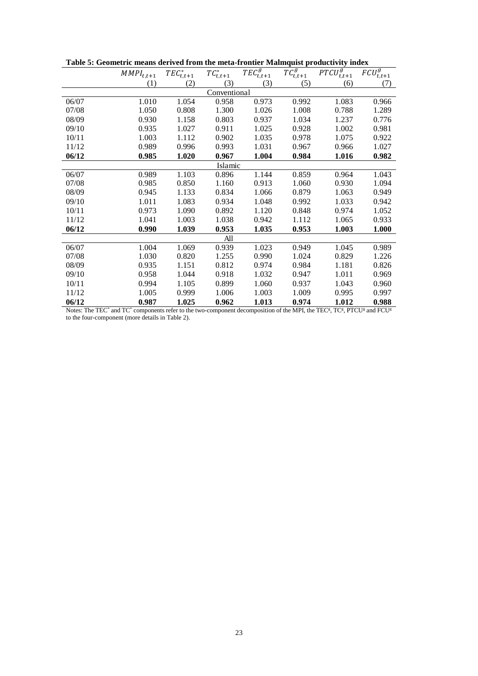<span id="page-23-13"></span><span id="page-23-8"></span><span id="page-23-7"></span><span id="page-23-6"></span><span id="page-23-5"></span>

|       | $MMPI_{t,t+1}$ | $TEC_{t,t+1}^*$ | $TC_{t,t+1}^*$ | $TEC_{t,t+1}^g$ | $TC_{t,t+1}$ | $PTCU_*^g$ .<br>$t,t+1$ | $FCU^{g}_{\tau}$<br>$t,t+1$ |
|-------|----------------|-----------------|----------------|-----------------|--------------|-------------------------|-----------------------------|
|       | (1)            | (2)             | (3)            | (3)             | (5)          | (6)                     | (7)                         |
|       |                |                 | Conventional   |                 |              |                         |                             |
| 06/07 | 1.010          | 1.054           | 0.958          | 0.973           | 0.992        | 1.083                   | 0.966                       |
| 07/08 | 1.050          | 0.808           | 1.300          | 1.026           | 1.008        | 0.788                   | 1.289                       |
| 08/09 | 0.930          | 1.158           | 0.803          | 0.937           | 1.034        | 1.237                   | 0.776                       |
| 09/10 | 0.935          | 1.027           | 0.911          | 1.025           | 0.928        | 1.002                   | 0.981                       |
| 10/11 | 1.003          | 1.112           | 0.902          | 1.035           | 0.978        | 1.075                   | 0.922                       |
| 11/12 | 0.989          | 0.996           | 0.993          | 1.031           | 0.967        | 0.966                   | 1.027                       |
| 06/12 | 0.985          | 1.020           | 0.967          | 1.004           | 0.984        | 1.016                   | 0.982                       |
|       |                |                 | Islamic        |                 |              |                         |                             |
| 06/07 | 0.989          | 1.103           | 0.896          | 1.144           | 0.859        | 0.964                   | 1.043                       |
| 07/08 | 0.985          | 0.850           | 1.160          | 0.913           | 1.060        | 0.930                   | 1.094                       |
| 08/09 | 0.945          | 1.133           | 0.834          | 1.066           | 0.879        | 1.063                   | 0.949                       |
| 09/10 | 1.011          | 1.083           | 0.934          | 1.048           | 0.992        | 1.033                   | 0.942                       |
| 10/11 | 0.973          | 1.090           | 0.892          | 1.120           | 0.848        | 0.974                   | 1.052                       |
| 11/12 | 1.041          | 1.003           | 1.038          | 0.942           | 1.112        | 1.065                   | 0.933                       |
| 06/12 | 0.990          | 1.039           | 0.953          | 1.035           | 0.953        | 1.003                   | 1.000                       |
|       |                |                 | All            |                 |              |                         |                             |
| 06/07 | 1.004          | 1.069           | 0.939          | 1.023           | 0.949        | 1.045                   | 0.989                       |
| 07/08 | 1.030          | 0.820           | 1.255          | 0.990           | 1.024        | 0.829                   | 1.226                       |
| 08/09 | 0.935          | 1.151           | 0.812          | 0.974           | 0.984        | 1.181                   | 0.826                       |
| 09/10 | 0.958          | 1.044           | 0.918          | 1.032           | 0.947        | 1.011                   | 0.969                       |
| 10/11 | 0.994          | 1.105           | 0.899          | 1.060           | 0.937        | 1.043                   | 0.960                       |
| 11/12 | 1.005          | 0.999           | 1.006          | 1.003           | 1.009        | 0.995                   | 0.997                       |
| 06/12 | 0.987          | 1.025           | 0.962          | 1.013           | 0.974        | 1.012                   | 0.988                       |

| Table 5: Geometric means derived from the meta-frontier Malmquist productivity index |  |  |  |
|--------------------------------------------------------------------------------------|--|--|--|
|--------------------------------------------------------------------------------------|--|--|--|

<span id="page-23-14"></span><span id="page-23-12"></span><span id="page-23-11"></span><span id="page-23-10"></span><span id="page-23-9"></span><span id="page-23-4"></span><span id="page-23-3"></span><span id="page-23-2"></span><span id="page-23-1"></span><span id="page-23-0"></span>Notes: The TEC<sup>\*</sup> and TC<sup>\*</sup> components refer to the two-component decomposition of the MPI, the TEC<sup>g</sup>, TC<sup>g</sup>, PTCU<sup>g</sup> and FCU<sup>g</sup> to the four-component (more details in Table 2).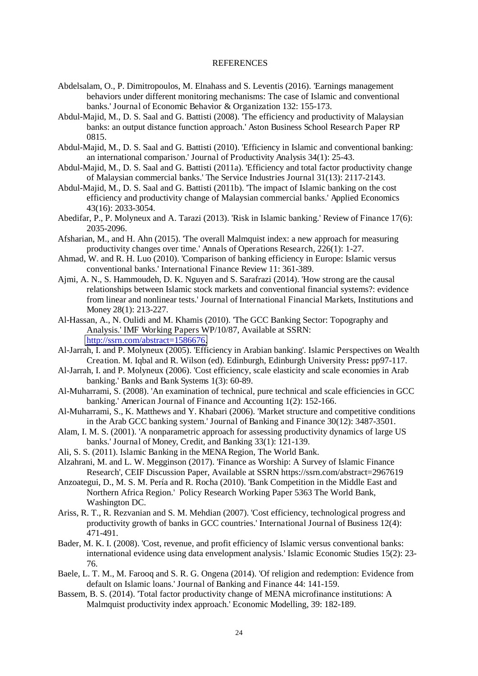#### REFERENCES

- Abdelsalam, O., P. Dimitropoulos, M. Elnahass and S. Leventis (2016). 'Earnings management behaviors under different monitoring mechanisms: The case of Islamic and conventional banks.' Journal of Economic Behavior & Organization 132: 155-173.
- <span id="page-24-0"></span>Abdul-Majid, M., D. S. Saal and G. Battisti (2008). 'The efficiency and productivity of Malaysian banks: an output distance function approach.' Aston Business School Research Paper RP 0815.
- <span id="page-24-3"></span><span id="page-24-1"></span>Abdul-Majid, M., D. S. Saal and G. Battisti (2010). 'Efficiency in Islamic and conventional banking: an international comparison.' Journal of Productivity Analysis 34(1): 25-43.
- Abdul-Majid, M., D. S. Saal and G. Battisti (2011a). 'Efficiency and total factor productivity change of Malaysian commercial banks.' The Service Industries Journal 31(13): 2117-2143.
- Abdul-Majid, M., D. S. Saal and G. Battisti (2011b). 'The impact of Islamic banking on the cost efficiency and productivity change of Malaysian commercial banks.' Applied Economics 43(16): 2033-3054.
- <span id="page-24-7"></span><span id="page-24-2"></span>Abedifar, P., P. Molyneux and A. Tarazi (2013). 'Risk in Islamic banking.' Review of Finance 17(6): 2035-2096.
- Afsharian, M., and H. Ahn (2015). 'The overall Malmquist index: a new approach for measuring productivity changes over time.' Annals of Operations Research, 226(1): 1-27.
- <span id="page-24-8"></span>Ahmad, W. and R. H. Luo (2010). 'Comparison of banking efficiency in Europe: Islamic versus conventional banks.' International Finance Review 11: 361-389.
- <span id="page-24-10"></span>Ajmi, A. N., S. Hammoudeh, D. K. Nguyen and S. Sarafrazi (2014). 'How strong are the causal relationships between Islamic stock markets and conventional financial systems?: evidence from linear and nonlinear tests.' Journal of International Financial Markets, Institutions and Money 28(1): 213-227.
- Al-Hassan, A., N. Oulidi and M. Khamis (2010). 'The GCC Banking Sector: Topography and Analysis.' IMF Working Papers WP/10/87, Available at SSRN: [http://ssrn.com/abstract=1586676.](http://ssrn.com/abstract=1586676)
- <span id="page-24-6"></span>Al-Jarrah, I. and P. Molyneux (2005). 'Efficiency in Arabian banking'. Islamic Perspectives on Wealth Creation. M. Iqbal and R. Wilson (ed). Edinburgh, Edinburgh University Press**:** pp97-117.
- Al-Jarrah, I. and P. Molyneux (2006). 'Cost efficiency, scale elasticity and scale economies in Arab banking.' Banks and Bank Systems 1(3): 60-89.
- Al-Muharrami, S. (2008). 'An examination of technical, pure technical and scale efficiencies in GCC banking.' American Journal of Finance and Accounting 1(2): 152-166.
- Al-Muharrami, S., K. Matthews and Y. Khabari (2006). 'Market structure and competitive conditions in the Arab GCC banking system.' Journal of Banking and Finance 30(12): 3487-3501.
- Alam, I. M. S. (2001). 'A nonparametric approach for assessing productivity dynamics of large US banks.' Journal of Money, Credit, and Banking 33(1): 121-139.
- Ali, S. S. (2011). Islamic Banking in the MENA Region, The World Bank.
- <span id="page-24-11"></span>Alzahrani, M. and L. W. Megginson (2017). 'Finance as Worship: A Survey of Islamic Finance Research', CEIF Discussion Paper, Available at SSRN https://ssrn.com/abstract=2967619
- <span id="page-24-5"></span>Anzoategui, D., M. S. M. Pería and R. Rocha (2010). 'Bank Competition in the Middle East and Northern Africa Region.' Policy Research Working Paper 5363 The World Bank, Washington DC.
- <span id="page-24-4"></span>Ariss, R. T., R. Rezvanian and S. M. Mehdian (2007). 'Cost efficiency, technological progress and productivity growth of banks in GCC countries.' International Journal of Business 12(4): 471-491.
- Bader, M. K. I. (2008). 'Cost, revenue, and profit efficiency of Islamic versus conventional banks: international evidence using data envelopment analysis.' Islamic Economic Studies 15(2): 23- 76.
- <span id="page-24-9"></span>Baele, L. T. M., M. Farooq and S. R. G. Ongena (2014). 'Of religion and redemption: Evidence from default on Islamic loans.' Journal of Banking and Finance 44: 141-159.
- Bassem, B. S. (2014). 'Total factor productivity change of MENA microfinance institutions: A Malmquist productivity index approach.' Economic Modelling, 39: 182-189.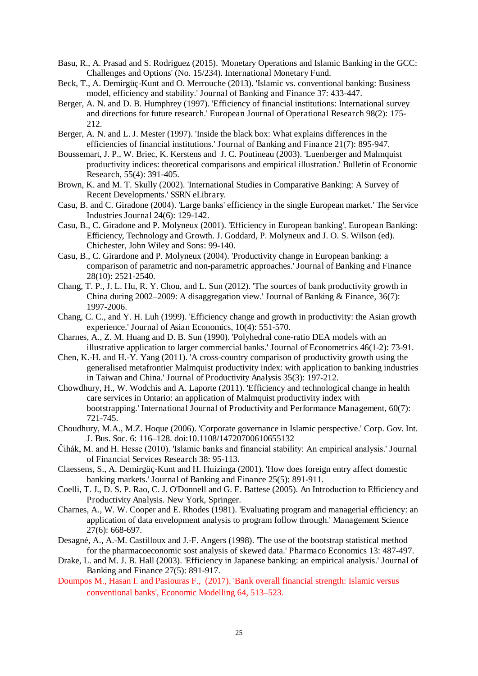- <span id="page-25-13"></span>Basu, R., A. Prasad and S. Rodriguez (2015). 'Monetary Operations and Islamic Banking in the GCC: Challenges and Options' (No. 15/234). International Monetary Fund.
- <span id="page-25-2"></span>Beck, T., A. Demirgüç-Kunt and O. Merrouche (2013). 'Islamic vs. conventional banking: Business model, efficiency and stability.' Journal of Banking and Finance 37: 433-447.
- <span id="page-25-11"></span>Berger, A. N. and D. B. Humphrey (1997). 'Efficiency of financial institutions: International survey and directions for future research.' European Journal of Operational Research 98(2): 175- 212.
- Berger, A. N. and L. J. Mester (1997). 'Inside the black box: What explains differences in the efficiencies of financial institutions.' Journal of Banking and Finance 21(7): 895-947.
- <span id="page-25-8"></span>Boussemart, J. P., W. Briec, K. Kerstens and J. C. Poutineau (2003). 'Luenberger and Malmquist productivity indices: theoretical comparisons and empirical illustration.' Bulletin of Economic Research, 55(4): 391-405.
- <span id="page-25-9"></span>Brown, K. and M. T. Skully (2002). 'International Studies in Comparative Banking: A Survey of Recent Developments.' SSRN eLibrary.
- Casu, B. and C. Giradone (2004). 'Large banks' efficiency in the single European market.' The Service Industries Journal 24(6): 129-142.
- <span id="page-25-12"></span>Casu, B., C. Giradone and P. Molyneux (2001). 'Efficiency in European banking'. European Banking: Efficiency, Technology and Growth. J. Goddard, P. Molyneux and J. O. S. Wilson (ed). Chichester, John Wiley and Sons: 99-140.
- <span id="page-25-10"></span>Casu, B., C. Girardone and P. Molyneux (2004). 'Productivity change in European banking: a comparison of parametric and non-parametric approaches.' Journal of Banking and Finance 28(10): 2521-2540.
- <span id="page-25-3"></span>Chang, T. P., J. L. Hu, R. Y. Chou, and L. Sun (2012). 'The sources of bank productivity growth in China during 2002–2009: A disaggregation view.' Journal of Banking & Finance, 36(7): 1997-2006.
- Chang, C. C., and Y. H. Luh (1999). 'Efficiency change and growth in productivity: the Asian growth experience.' Journal of Asian Economics, 10(4): 551-570.
- <span id="page-25-0"></span>Charnes, A., Z. M. Huang and D. B. Sun (1990). 'Polyhedral cone-ratio DEA models with an illustrative application to larger commercial banks.' Journal of Econometrics 46(1-2): 73-91.
- <span id="page-25-1"></span>Chen, K.-H. and H.-Y. Yang (2011). 'A cross-country comparison of productivity growth using the generalised metafrontier Malmquist productivity index: with application to banking industries in Taiwan and China.' Journal of Productivity Analysis 35(3): 197-212.
- <span id="page-25-4"></span>Chowdhury, H., W. Wodchis and A. Laporte (2011). 'Efficiency and technological change in health care services in Ontario: an application of Malmquist productivity index with bootstrapping.' International Journal of Productivity and Performance Management, 60(7): 721-745.
- <span id="page-25-7"></span>Choudhury, M.A., M.Z. Hoque (2006). 'Corporate governance in Islamic perspective.' Corp. Gov. Int. J. Bus. Soc. 6: 116–128. doi:10.1108/14720700610655132
- Čihák, M. and H. Hesse (2010). 'Islamic banks and financial stability: An empirical analysis.' Journal of Financial Services Research 38: 95-113.
- Claessens, S., A. Demirgüç-Kunt and H. Huizinga (2001). 'How does foreign entry affect domestic banking markets.' Journal of Banking and Finance 25(5): 891-911.
- Coelli, T. J., D. S. P. Rao, C. J. O'Donnell and G. E. Battese (2005). An Introduction to Efficiency and Productivity Analysis. New York, Springer.
- <span id="page-25-5"></span>Charnes, A., W. W. Cooper and E. Rhodes (1981). 'Evaluating program and managerial efficiency: an application of data envelopment analysis to program follow through.' Management Science 27(6): 668-697.
- Desagné, A., A.-M. Castilloux and J.-F. Angers (1998). 'The use of the bootstrap statistical method for the pharmacoeconomic sost analysis of skewed data.' Pharmaco Economics 13: 487-497.
- Drake, L. and M. J. B. Hall (2003). 'Efficiency in Japanese banking: an empirical analysis.' Journal of Banking and Finance 27(5): 891-917.
- <span id="page-25-6"></span>Doumpos M., Hasan I. and Pasiouras F., (2017). 'Bank overall financial strength: Islamic versus conventional banks', Economic Modelling 64, 513–523.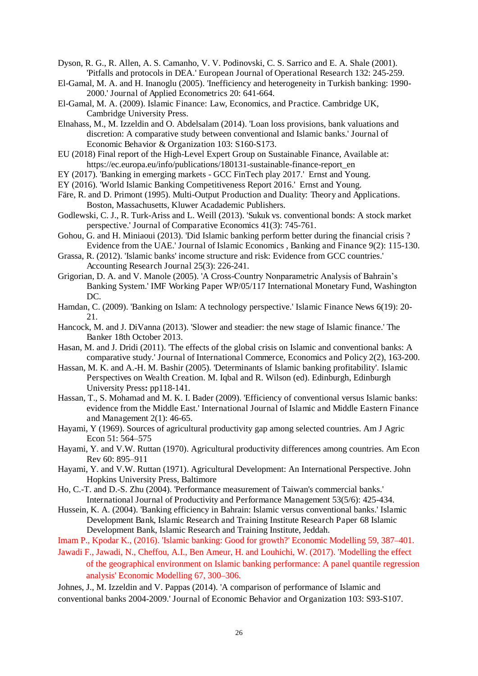- <span id="page-26-2"></span>Dyson, R. G., R. Allen, A. S. Camanho, V. V. Podinovski, C. S. Sarrico and E. A. Shale (2001). 'Pitfalls and protocols in DEA.' European Journal of Operational Research 132: 245-259.
- El-Gamal, M. A. and H. Inanoglu (2005). 'Inefficiency and heterogeneity in Turkish banking: 1990- 2000.' Journal of Applied Econometrics 20: 641-664.
- El-Gamal, M. A. (2009). Islamic Finance: Law, Economics, and Practice. Cambridge UK, Cambridge University Press.
- Elnahass, M., M. Izzeldin and O. Abdelsalam (2014). 'Loan loss provisions, bank valuations and discretion: A comparative study between conventional and Islamic banks.' Journal of Economic Behavior & Organization 103: S160-S173.
- EU (2018) Final report of the High-Level Expert Group on Sustainable Finance, Available at: https://ec.europa.eu/info/publications/180131-sustainable-finance-report\_en
- EY (2017). 'Banking in emerging markets GCC FinTech play 2017.' Ernst and Young.
- EY (2016). 'World Islamic Banking Competitiveness Report 2016.' Ernst and Young.
- Färe, R. and D. Primont (1995). Multi-Output Production and Duality: Theory and Applications. Boston, Massachusetts, Kluwer Acadademic Publishers.
- Godlewski, C. J., R. Turk-Ariss and L. Weill (2013). 'Sukuk vs. conventional bonds: A stock market perspective.' Journal of Comparative Economics 41(3): 745-761.
- <span id="page-26-9"></span>Gohou, G. and H. Miniaoui (2013). 'Did Islamic banking perform better during the financial crisis ? Evidence from the UAE.' Journal of Islamic Economics , Banking and Finance 9(2): 115-130.
- <span id="page-26-6"></span>Grassa, R. (2012). 'Islamic banks' income structure and risk: Evidence from GCC countries.' Accounting Research Journal 25(3): 226-241.
- <span id="page-26-3"></span>Grigorian, D. A. and V. Manole (2005). 'A Cross-Country Nonparametric Analysis of Bahrain's Banking System.' IMF Working Paper WP/05/117 International Monetary Fund, Washington  $DC$
- Hamdan, C. (2009). 'Banking on Islam: A technology perspective.' Islamic Finance News 6(19): 20- 21.
- Hancock, M. and J. DiVanna (2013). 'Slower and steadier: the new stage of Islamic finance.' The Banker 18th October 2013.
- Hasan, M. and J. Dridi (2011). 'The effects of the global crisis on Islamic and conventional banks: A comparative study.' Journal of International Commerce, Economics and Policy 2(2), 163-200.
- Hassan, M. K. and A.-H. M. Bashir (2005). 'Determinants of Islamic banking profitability'. Islamic Perspectives on Wealth Creation. M. Iqbal and R. Wilson (ed). Edinburgh, Edinburgh University Press**:** pp118-141.
- <span id="page-26-5"></span>Hassan, T., S. Mohamad and M. K. I. Bader (2009). 'Efficiency of conventional versus Islamic banks: evidence from the Middle East.' International Journal of Islamic and Middle Eastern Finance and Management 2(1): 46-65.
- <span id="page-26-4"></span>Hayami, Y (1969). Sources of agricultural productivity gap among selected countries. Am J Agric Econ 51: 564–575
- <span id="page-26-0"></span>Hayami, Y. and V.W. Ruttan (1970). Agricultural productivity differences among countries. Am Econ Rev 60: 895–911
- <span id="page-26-1"></span>Hayami, Y. and V.W. Ruttan (1971). Agricultural Development: An International Perspective. John Hopkins University Press, Baltimore
- <span id="page-26-7"></span>Ho, C.-T. and D.-S. Zhu (2004). 'Performance measurement of Taiwan's commercial banks.' International Journal of Productivity and Performance Management 53(5/6): 425-434.
- <span id="page-26-8"></span>Hussein, K. A. (2004). 'Banking efficiency in Bahrain: Islamic versus conventional banks.' Islamic Development Bank, Islamic Research and Training Institute Research Paper 68 Islamic Development Bank, Islamic Research and Training Institute, Jeddah.
- Imam P., Kpodar K., (2016). 'Islamic banking: Good for growth?' Economic Modelling 59, 387–401.
- Jawadi F., Jawadi, N., Cheffou, A.I., Ben Ameur, H. and Louhichi, W. (2017). 'Modelling the effect of the geographical environment on Islamic banking performance: A panel quantile regression analysis' Economic Modelling 67, 300–306.
- Johnes, J., M. Izzeldin and V. Pappas (2014). 'A comparison of performance of Islamic and conventional banks 2004-2009.' Journal of Economic Behavior and Organization 103: S93-S107.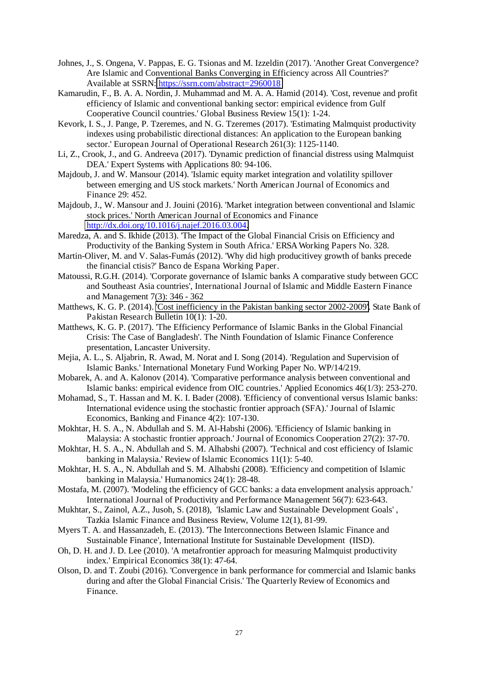- <span id="page-27-0"></span>Johnes, J., S. Ongena, V. Pappas, E. G. Tsionas and M. Izzeldin (2017). 'Another Great Convergence? Are Islamic and Conventional Banks Converging in Efficiency across All Countries?' Available at SSRN:<https://ssrn.com/abstract=2960018>
- <span id="page-27-2"></span>Kamarudin, F., B. A. A. Nordin, J. Muhammad and M. A. A. Hamid (2014). 'Cost, revenue and profit efficiency of Islamic and conventional banking sector: empirical evidence from Gulf Cooperative Council countries.' Global Business Review 15(1): 1-24.
- Kevork, I. S., J. Pange, P. Tzeremes, and N. G. Tzeremes (2017). 'Estimating Malmquist productivity indexes using probabilistic directional distances: An application to the European banking sector.' European Journal of Operational Research 261(3): 1125-1140.
- <span id="page-27-1"></span>Li, Z., Crook, J., and G. Andreeva (2017). 'Dynamic prediction of financial distress using Malmquist DEA.' Expert Systems with Applications 80: 94-106.
- <span id="page-27-12"></span>Majdoub, J. and W. Mansour (2014). 'Islamic equity market integration and volatility spillover between emerging and US stock markets.' North American Journal of Economics and Finance 29: 452.
- <span id="page-27-9"></span>Majdoub, J., W. Mansour and J. Jouini (2016). 'Market integration between conventional and Islamic stock prices.' North American Journal of Economics and Finance [http://dx.doi.org/10.1016/j.najef.2016.03.004.](http://dx.doi.org/10.1016/j.najef.2016.03.004)
- Maredza, A. and S. Ikhide (2013). The Impact of the Global Financial Crisis on Efficiency and Productivity of the Banking System in South Africa.' ERSA Working Papers No. 328.
- Martin-Oliver, M. and V. Salas-Fumás (2012). 'Why did high producitivey growth of banks precede the financial ctisis?' Banco de Espana Working Paper.
- <span id="page-27-11"></span>Matoussi, R.G.H. (2014). 'Corporate governance of Islamic banks A comparative study between GCC and Southeast Asia countries', International Journal of Islamic and Middle Eastern Finance and Management 7(3): 346 - 362
- <span id="page-27-15"></span>Matthews, K. G. P. (2014). ['Cost inefficiency in the Pakistan banking sector 2002-2009'.](http://orca.cf.ac.uk/72161) State Bank of Pakistan Research Bulletin 10(1): 1-20.
- <span id="page-27-4"></span>Matthews, K. G. P. (2017). 'The Efficiency Performance of Islamic Banks in the Global Financial Crisis: The Case of Bangladesh'. The Ninth Foundation of Islamic Finance Conference presentation, Lancaster University.
- <span id="page-27-10"></span>Mejia, A. L., S. Aljabrin, R. Awad, M. Norat and I. Song (2014). 'Regulation and Supervision of Islamic Banks.' International Monetary Fund Working Paper No. WP/14/219.
- <span id="page-27-6"></span>Mobarek, A. and A. Kalonov (2014). 'Comparative performance analysis between conventional and Islamic banks: empirical evidence from OIC countries.' Applied Economics 46(1/3): 253-270.
- Mohamad, S., T. Hassan and M. K. I. Bader (2008). 'Efficiency of conventional versus Islamic banks: International evidence using the stochastic frontier approach (SFA).' Journal of Islamic Economics, Banking and Finance 4(2): 107-130.
- <span id="page-27-3"></span>Mokhtar, H. S. A., N. Abdullah and S. M. Al-Habshi (2006). 'Efficiency of Islamic banking in Malaysia: A stochastic frontier approach.' Journal of Economics Cooperation 27(2): 37-70.
- <span id="page-27-16"></span>Mokhtar, H. S. A., N. Abdullah and S. M. Alhabshi (2007). 'Technical and cost efficiency of Islamic banking in Malaysia.' Review of Islamic Economics 11(1): 5-40.
- <span id="page-27-13"></span>Mokhtar, H. S. A., N. Abdullah and S. M. Alhabshi (2008). 'Efficiency and competition of Islamic banking in Malaysia.' Humanomics 24(1): 28-48.
- Mostafa, M. (2007). 'Modeling the efficiency of GCC banks: a data envelopment analysis approach.' International Journal of Productivity and Performance Management 56(7): 623-643.
- <span id="page-27-14"></span>Mukhtar, S., Zainol, A.Z., Jusoh, S. (2018), 'Islamic Law and Sustainable Development Goals' , Tazkia Islamic Finance and Business Review, Volume 12(1), 81-99.
- <span id="page-27-5"></span>Myers T. A. and Hassanzadeh, E. (2013). 'The Interconnections Between Islamic Finance and Sustainable Finance', International Institute for Sustainable Development (IISD).
- <span id="page-27-8"></span>Oh, D. H. and J. D. Lee (2010). 'A metafrontier approach for measuring Malmquist productivity index.' Empirical Economics 38(1): 47-64.
- <span id="page-27-7"></span>Olson, D. and T. Zoubi (2016). 'Convergence in bank performance for commercial and Islamic banks during and after the Global Financial Crisis.' The Quarterly Review of Economics and Finance.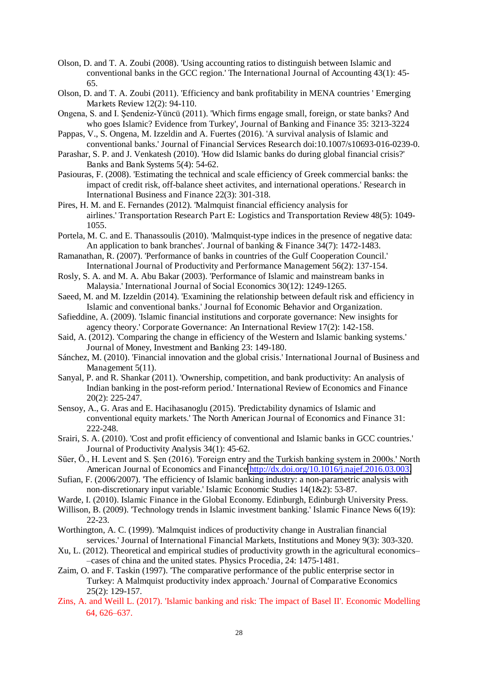- Olson, D. and T. A. Zoubi (2008). 'Using accounting ratios to distinguish between Islamic and conventional banks in the GCC region.' The International Journal of Accounting 43(1): 45- 65.
- Olson, D. and T. A. Zoubi (2011). 'Efficiency and bank profitability in MENA countries ' Emerging Markets Review 12(2): 94-110.
- Ongena, S. and I. Şendeniz-Yüncü (2011). 'Which firms engage small, foreign, or state banks? And who goes Islamic? Evidence from Turkey', Journal of Banking and Finance 35: 3213-3224
- Pappas, V., S. Ongena, M. Izzeldin and A. Fuertes (2016). 'A survival analysis of Islamic and conventional banks.' Journal of Financial Services Research doi:10.1007/s10693-016-0239-0.
- Parashar, S. P. and J. Venkatesh (2010). 'How did Islamic banks do during global financial crisis?' Banks and Bank Systems 5(4): 54-62.
- Pasiouras, F. (2008). 'Estimating the technical and scale efficiency of Greek commercial banks: the impact of credit risk, off-balance sheet activites, and international operations.' Research in International Business and Finance 22(3): 301-318.
- Pires, H. M. and E. Fernandes (2012). 'Malmquist financial efficiency analysis for airlines.' Transportation Research Part E: Logistics and Transportation Review 48(5): 1049- 1055.
- Portela, M. C. and E. Thanassoulis (2010). 'Malmquist-type indices in the presence of negative data: An application to bank branches'. Journal of banking & Finance 34(7): 1472-1483.
- Ramanathan, R. (2007). 'Performance of banks in countries of the Gulf Cooperation Council.' International Journal of Productivity and Performance Management 56(2): 137-154.
- Rosly, S. A. and M. A. Abu Bakar (2003). 'Performance of Islamic and mainstream banks in Malaysia.' International Journal of Social Economics 30(12): 1249-1265.
- Saeed, M. and M. Izzeldin (2014). 'Examining the relationship between default risk and efficiency in Islamic and conventional banks.' Journal fof Economic Behavior and Organization.
- Safieddine, A. (2009). 'Islamic financial institutions and corporate governance: New insights for agency theory.' Corporate Governance: An International Review 17(2): 142-158.
- Said, A. (2012). 'Comparing the change in efficiency of the Western and Islamic banking systems.' Journal of Money, Investment and Banking 23: 149-180.
- Sánchez, M. (2010). 'Financial innovation and the global crisis.' International Journal of Business and Management 5(11).
- Sanyal, P. and R. Shankar (2011). 'Ownership, competition, and bank productivity: An analysis of Indian banking in the post-reform period.' International Review of Economics and Finance 20(2): 225-247.
- Sensoy, A., G. Aras and E. Hacihasanoglu (2015). 'Predictability dynamics of Islamic and conventional equity markets.' The North American Journal of Economics and Finance 31: 222-248.
- Srairi, S. A. (2010). 'Cost and profit efficiency of conventional and Islamic banks in GCC countries.' Journal of Productivity Analysis 34(1): 45-62.
- Süer, Ö., H. Levent and S. Şen (2016). 'Foreign entry and the Turkish banking system in 2000s.' North American Journal of Economics and Finance [http://dx.doi.org/10.1016/j.najef.2016.03.003.](http://dx.doi.org/10.1016/j.najef.2016.03.003)
- Sufian, F. (2006/2007). 'The efficiency of Islamic banking industry: a non-parametric analysis with non-discretionary input variable.' Islamic Economic Studies 14(1&2): 53-87.
- Warde, I. (2010). Islamic Finance in the Global Economy. Edinburgh, Edinburgh University Press.
- Willison, B. (2009). 'Technology trends in Islamic investment banking.' Islamic Finance News 6(19): 22-23.
- Worthington, A. C. (1999). 'Malmquist indices of productivity change in Australian financial services.' Journal of International Financial Markets, Institutions and Money 9(3): 303-320.
- Xu, L. (2012). Theoretical and empirical studies of productivity growth in the agricultural economics– –cases of china and the united states. Physics Procedia, 24: 1475-1481.
- Zaim, O. and F. Taskin (1997). 'The comparative performance of the public enterprise sector in Turkey: A Malmquist productivity index approach.' Journal of Comparative Economics 25(2): 129-157.
- Zins, A. and Weill L. (2017). 'Islamic banking and risk: The impact of Basel II'. Economic Modelling 64, 626–637.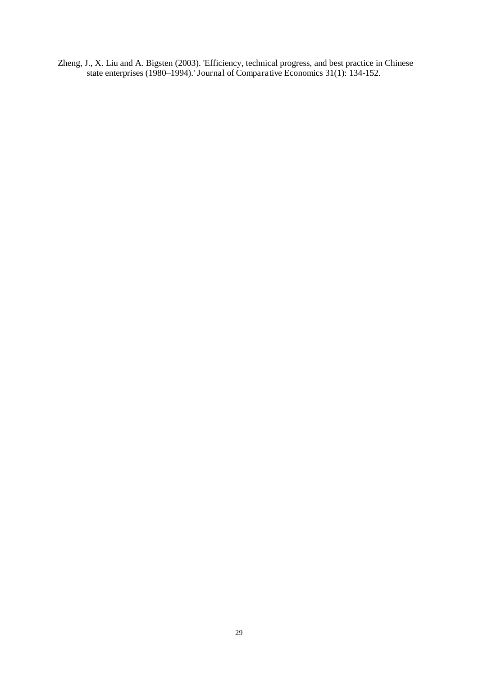Zheng, J., X. Liu and A. Bigsten (2003). 'Efficiency, technical progress, and best practice in Chinese state enterprises (1980–1994).' Journal of Comparative Economics 31(1): 134-152.